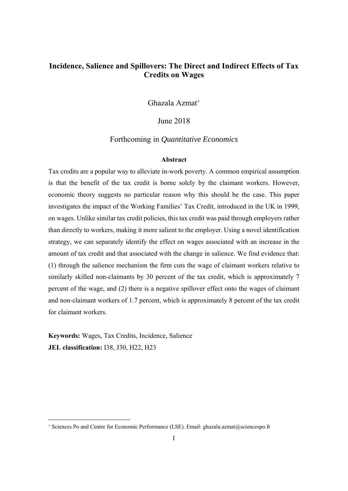# **Incidence, Salience and Spillovers: The Direct and Indirect Effects of Tax Credits on Wages**

Ghazala Azmat

June 2018

Forthcoming in *Quantitative Economics*

### **Abstract**

Tax credits are a popular way to alleviate in-work poverty. A common empirical assumption is that the benefit of the tax credit is borne solely by the claimant workers. However, economic theory suggests no particular reason why this should be the case. This paper investigates the impact of the Working Families' Tax Credit, introduced in the UK in 1999, on wages. Unlike similar tax credit policies, this tax credit was paid through employers rather than directly to workers, making it more salient to the employer. Using a novel identification strategy, we can separately identify the effect on wages associated with an increase in the amount of tax credit and that associated with the change in salience. We find evidence that: (1) through the salience mechanism the firm cuts the wage of claimant workers relative to similarly skilled non-claimants by 30 percent of the tax credit, which is approximately 7 percent of the wage, and (2) there is a negative spillover effect onto the wages of claimant and non-claimant workers of 1.7 percent, which is approximately 8 percent of the tax credit for claimant workers.

**Keywords:** Wages, Tax Credits, Incidence, Salience **JEL classification:** I38, J30, H22, H23

-

Sciences Po and Centre for Economic Performance (LSE). Email: ghazala.azmat@sciencespo.fr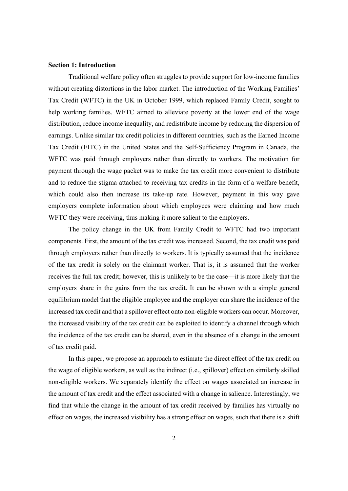#### **Section 1: Introduction**

Traditional welfare policy often struggles to provide support for low-income families without creating distortions in the labor market. The introduction of the Working Families' Tax Credit (WFTC) in the UK in October 1999, which replaced Family Credit, sought to help working families. WFTC aimed to alleviate poverty at the lower end of the wage distribution, reduce income inequality, and redistribute income by reducing the dispersion of earnings. Unlike similar tax credit policies in different countries, such as the Earned Income Tax Credit (EITC) in the United States and the Self-Sufficiency Program in Canada, the WFTC was paid through employers rather than directly to workers. The motivation for payment through the wage packet was to make the tax credit more convenient to distribute and to reduce the stigma attached to receiving tax credits in the form of a welfare benefit, which could also then increase its take-up rate. However, payment in this way gave employers complete information about which employees were claiming and how much WFTC they were receiving, thus making it more salient to the employers.

The policy change in the UK from Family Credit to WFTC had two important components. First, the amount of the tax credit was increased. Second, the tax credit was paid through employers rather than directly to workers. It is typically assumed that the incidence of the tax credit is solely on the claimant worker. That is, it is assumed that the worker receives the full tax credit; however, this is unlikely to be the case—it is more likely that the employers share in the gains from the tax credit. It can be shown with a simple general equilibrium model that the eligible employee and the employer can share the incidence of the increased tax credit and that a spillover effect onto non-eligible workers can occur. Moreover, the increased visibility of the tax credit can be exploited to identify a channel through which the incidence of the tax credit can be shared, even in the absence of a change in the amount of tax credit paid.

In this paper, we propose an approach to estimate the direct effect of the tax credit on the wage of eligible workers, as well as the indirect (i.e., spillover) effect on similarly skilled non-eligible workers. We separately identify the effect on wages associated an increase in the amount of tax credit and the effect associated with a change in salience. Interestingly, we find that while the change in the amount of tax credit received by families has virtually no effect on wages, the increased visibility has a strong effect on wages, such that there is a shift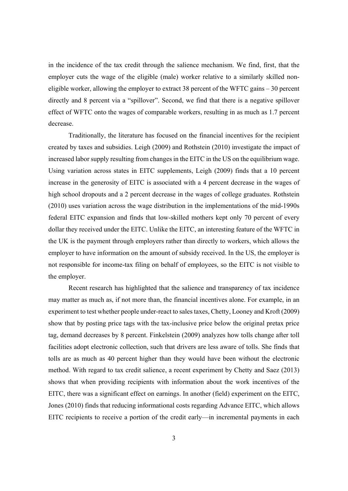in the incidence of the tax credit through the salience mechanism. We find, first, that the employer cuts the wage of the eligible (male) worker relative to a similarly skilled noneligible worker, allowing the employer to extract 38 percent of the WFTC gains – 30 percent directly and 8 percent via a "spillover". Second, we find that there is a negative spillover effect of WFTC onto the wages of comparable workers, resulting in as much as 1.7 percent decrease.

Traditionally, the literature has focused on the financial incentives for the recipient created by taxes and subsidies. Leigh (2009) and Rothstein (2010) investigate the impact of increased labor supply resulting from changes in the EITC in the US on the equilibrium wage. Using variation across states in EITC supplements, Leigh (2009) finds that a 10 percent increase in the generosity of EITC is associated with a 4 percent decrease in the wages of high school dropouts and a 2 percent decrease in the wages of college graduates. Rothstein (2010) uses variation across the wage distribution in the implementations of the mid-1990s federal EITC expansion and finds that low-skilled mothers kept only 70 percent of every dollar they received under the EITC. Unlike the EITC, an interesting feature of the WFTC in the UK is the payment through employers rather than directly to workers, which allows the employer to have information on the amount of subsidy received. In the US, the employer is not responsible for income-tax filing on behalf of employees, so the EITC is not visible to the employer.

Recent research has highlighted that the salience and transparency of tax incidence may matter as much as, if not more than, the financial incentives alone. For example, in an experiment to test whether people under-react to sales taxes, Chetty, Looney and Kroft (2009) show that by posting price tags with the tax-inclusive price below the original pretax price tag, demand decreases by 8 percent. Finkelstein (2009) analyzes how tolls change after toll facilities adopt electronic collection, such that drivers are less aware of tolls. She finds that tolls are as much as 40 percent higher than they would have been without the electronic method. With regard to tax credit salience, a recent experiment by Chetty and Saez (2013) shows that when providing recipients with information about the work incentives of the EITC, there was a significant effect on earnings. In another (field) experiment on the EITC, Jones (2010) finds that reducing informational costs regarding Advance EITC, which allows EITC recipients to receive a portion of the credit early—in incremental payments in each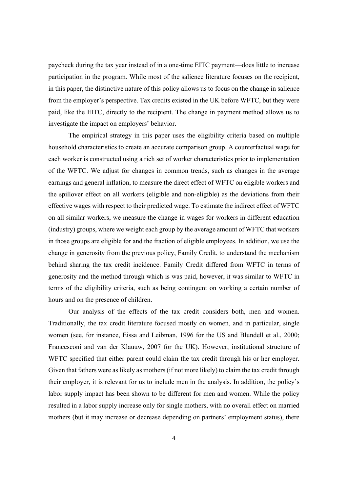paycheck during the tax year instead of in a one-time EITC payment—does little to increase participation in the program. While most of the salience literature focuses on the recipient, in this paper, the distinctive nature of this policy allows us to focus on the change in salience from the employer's perspective. Tax credits existed in the UK before WFTC, but they were paid, like the EITC, directly to the recipient. The change in payment method allows us to investigate the impact on employers' behavior.

The empirical strategy in this paper uses the eligibility criteria based on multiple household characteristics to create an accurate comparison group. A counterfactual wage for each worker is constructed using a rich set of worker characteristics prior to implementation of the WFTC. We adjust for changes in common trends, such as changes in the average earnings and general inflation, to measure the direct effect of WFTC on eligible workers and the spillover effect on all workers (eligible and non-eligible) as the deviations from their effective wages with respect to their predicted wage. To estimate the indirect effect of WFTC on all similar workers, we measure the change in wages for workers in different education (industry) groups, where we weight each group by the average amount of WFTC that workers in those groups are eligible for and the fraction of eligible employees. In addition, we use the change in generosity from the previous policy, Family Credit, to understand the mechanism behind sharing the tax credit incidence. Family Credit differed from WFTC in terms of generosity and the method through which is was paid, however, it was similar to WFTC in terms of the eligibility criteria, such as being contingent on working a certain number of hours and on the presence of children.

Our analysis of the effects of the tax credit considers both, men and women. Traditionally, the tax credit literature focused mostly on women, and in particular, single women (see, for instance, Eissa and Leibman, 1996 for the US and Blundell et al., 2000; Francesconi and van der Klauuw, 2007 for the UK). However, institutional structure of WFTC specified that either parent could claim the tax credit through his or her employer. Given that fathers were as likely as mothers (if not more likely) to claim the tax credit through their employer, it is relevant for us to include men in the analysis. In addition, the policy's labor supply impact has been shown to be different for men and women. While the policy resulted in a labor supply increase only for single mothers, with no overall effect on married mothers (but it may increase or decrease depending on partners' employment status), there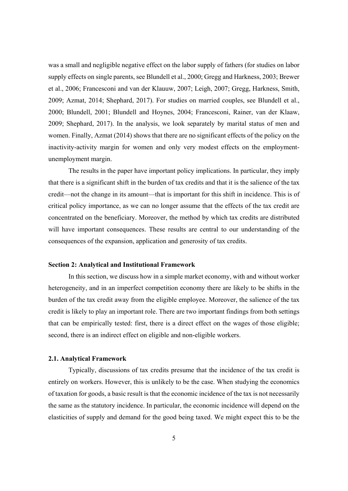was a small and negligible negative effect on the labor supply of fathers (for studies on labor supply effects on single parents, see Blundell et al., 2000; Gregg and Harkness, 2003; Brewer et al., 2006; Francesconi and van der Klauuw, 2007; Leigh, 2007; Gregg, Harkness, Smith, 2009; Azmat, 2014; Shephard, 2017). For studies on married couples, see Blundell et al., 2000; Blundell, 2001; Blundell and Hoynes, 2004; Francesconi, Rainer, van der Klaaw, 2009; Shephard, 2017). In the analysis, we look separately by marital status of men and women. Finally, Azmat (2014) shows that there are no significant effects of the policy on the inactivity-activity margin for women and only very modest effects on the employmentunemployment margin.

The results in the paper have important policy implications. In particular, they imply that there is a significant shift in the burden of tax credits and that it is the salience of the tax credit—not the change in its amount—that is important for this shift in incidence. This is of critical policy importance, as we can no longer assume that the effects of the tax credit are concentrated on the beneficiary. Moreover, the method by which tax credits are distributed will have important consequences. These results are central to our understanding of the consequences of the expansion, application and generosity of tax credits.

#### **Section 2: Analytical and Institutional Framework**

In this section, we discuss how in a simple market economy, with and without worker heterogeneity, and in an imperfect competition economy there are likely to be shifts in the burden of the tax credit away from the eligible employee. Moreover, the salience of the tax credit is likely to play an important role. There are two important findings from both settings that can be empirically tested: first, there is a direct effect on the wages of those eligible; second, there is an indirect effect on eligible and non-eligible workers.

#### **2.1. Analytical Framework**

Typically, discussions of tax credits presume that the incidence of the tax credit is entirely on workers. However, this is unlikely to be the case. When studying the economics of taxation for goods, a basic result is that the economic incidence of the tax is not necessarily the same as the statutory incidence. In particular, the economic incidence will depend on the elasticities of supply and demand for the good being taxed. We might expect this to be the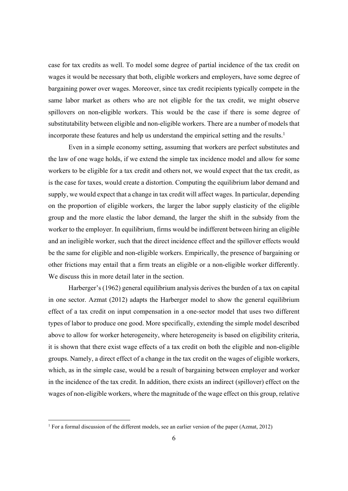case for tax credits as well. To model some degree of partial incidence of the tax credit on wages it would be necessary that both, eligible workers and employers, have some degree of bargaining power over wages. Moreover, since tax credit recipients typically compete in the same labor market as others who are not eligible for the tax credit, we might observe spillovers on non-eligible workers. This would be the case if there is some degree of substitutability between eligible and non-eligible workers. There are a number of models that incorporate these features and help us understand the empirical setting and the results.<sup>1</sup>

Even in a simple economy setting, assuming that workers are perfect substitutes and the law of one wage holds, if we extend the simple tax incidence model and allow for some workers to be eligible for a tax credit and others not, we would expect that the tax credit, as is the case for taxes, would create a distortion. Computing the equilibrium labor demand and supply, we would expect that a change in tax credit will affect wages. In particular, depending on the proportion of eligible workers, the larger the labor supply elasticity of the eligible group and the more elastic the labor demand, the larger the shift in the subsidy from the worker to the employer. In equilibrium, firms would be indifferent between hiring an eligible and an ineligible worker, such that the direct incidence effect and the spillover effects would be the same for eligible and non-eligible workers. Empirically, the presence of bargaining or other frictions may entail that a firm treats an eligible or a non-eligible worker differently. We discuss this in more detail later in the section.

Harberger's (1962) general equilibrium analysis derives the burden of a tax on capital in one sector. Azmat (2012) adapts the Harberger model to show the general equilibrium effect of a tax credit on input compensation in a one-sector model that uses two different types of labor to produce one good. More specifically, extending the simple model described above to allow for worker heterogeneity, where heterogeneity is based on eligibility criteria, it is shown that there exist wage effects of a tax credit on both the eligible and non-eligible groups. Namely, a direct effect of a change in the tax credit on the wages of eligible workers, which, as in the simple case, would be a result of bargaining between employer and worker in the incidence of the tax credit. In addition, there exists an indirect (spillover) effect on the wages of non-eligible workers, where the magnitude of the wage effect on this group, relative

-

<sup>1</sup> For a formal discussion of the different models, see an earlier version of the paper (Azmat, 2012)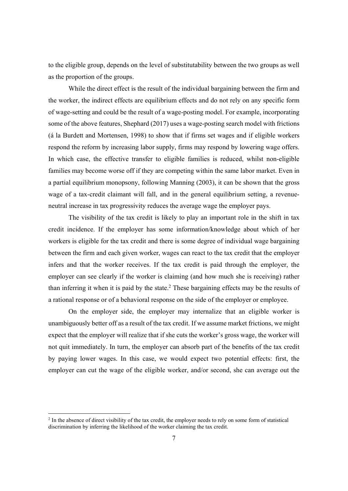to the eligible group, depends on the level of substitutability between the two groups as well as the proportion of the groups.

While the direct effect is the result of the individual bargaining between the firm and the worker, the indirect effects are equilibrium effects and do not rely on any specific form of wage-setting and could be the result of a wage-posting model. For example, incorporating some of the above features, Shephard (2017) uses a wage-posting search model with frictions (á la Burdett and Mortensen, 1998) to show that if firms set wages and if eligible workers respond the reform by increasing labor supply, firms may respond by lowering wage offers. In which case, the effective transfer to eligible families is reduced, whilst non-eligible families may become worse off if they are competing within the same labor market. Even in a partial equilibrium monopsony, following Manning (2003), it can be shown that the gross wage of a tax-credit claimant will fall, and in the general equilibrium setting, a revenueneutral increase in tax progressivity reduces the average wage the employer pays.

The visibility of the tax credit is likely to play an important role in the shift in tax credit incidence. If the employer has some information/knowledge about which of her workers is eligible for the tax credit and there is some degree of individual wage bargaining between the firm and each given worker, wages can react to the tax credit that the employer infers and that the worker receives. If the tax credit is paid through the employer, the employer can see clearly if the worker is claiming (and how much she is receiving) rather than inferring it when it is paid by the state.<sup>2</sup> These bargaining effects may be the results of a rational response or of a behavioral response on the side of the employer or employee.

On the employer side, the employer may internalize that an eligible worker is unambiguously better off as a result of the tax credit. If we assume market frictions, we might expect that the employer will realize that if she cuts the worker's gross wage, the worker will not quit immediately. In turn, the employer can absorb part of the benefits of the tax credit by paying lower wages. In this case, we would expect two potential effects: first, the employer can cut the wage of the eligible worker, and/or second, she can average out the

-

<sup>&</sup>lt;sup>2</sup> In the absence of direct visibility of the tax credit, the employer needs to rely on some form of statistical discrimination by inferring the likelihood of the worker claiming the tax credit.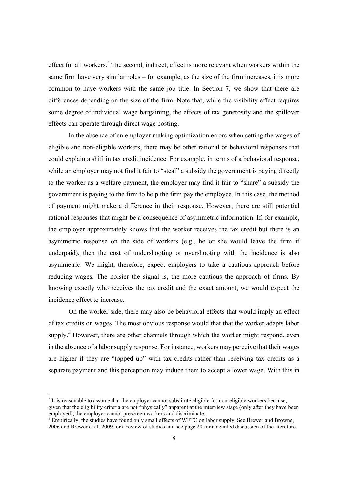effect for all workers.<sup>3</sup> The second, indirect, effect is more relevant when workers within the same firm have very similar roles – for example, as the size of the firm increases, it is more common to have workers with the same job title. In Section 7, we show that there are differences depending on the size of the firm. Note that, while the visibility effect requires some degree of individual wage bargaining, the effects of tax generosity and the spillover effects can operate through direct wage posting.

In the absence of an employer making optimization errors when setting the wages of eligible and non-eligible workers, there may be other rational or behavioral responses that could explain a shift in tax credit incidence. For example, in terms of a behavioral response, while an employer may not find it fair to "steal" a subsidy the government is paying directly to the worker as a welfare payment, the employer may find it fair to "share" a subsidy the government is paying to the firm to help the firm pay the employee. In this case, the method of payment might make a difference in their response. However, there are still potential rational responses that might be a consequence of asymmetric information. If, for example, the employer approximately knows that the worker receives the tax credit but there is an asymmetric response on the side of workers (e.g., he or she would leave the firm if underpaid), then the cost of undershooting or overshooting with the incidence is also asymmetric. We might, therefore, expect employers to take a cautious approach before reducing wages. The noisier the signal is, the more cautious the approach of firms. By knowing exactly who receives the tax credit and the exact amount, we would expect the incidence effect to increase.

On the worker side, there may also be behavioral effects that would imply an effect of tax credits on wages. The most obvious response would that that the worker adapts labor supply.<sup>4</sup> However, there are other channels through which the worker might respond, even in the absence of a labor supply response. For instance, workers may perceive that their wages are higher if they are "topped up" with tax credits rather than receiving tax credits as a separate payment and this perception may induce them to accept a lower wage. With this in

 $\overline{a}$ 

<sup>&</sup>lt;sup>3</sup> It is reasonable to assume that the employer cannot substitute eligible for non-eligible workers because, given that the eligibility criteria are not "physically" apparent at the interview stage (only after they have been

employed), the employer cannot prescreen workers and discriminate.

<sup>&</sup>lt;sup>4</sup> Empirically, the studies have found only small effects of WFTC on labor supply. See Brewer and Browne, 2006 and Brewer et al. 2009 for a review of studies and see page 20 for a detailed discussion of the literature.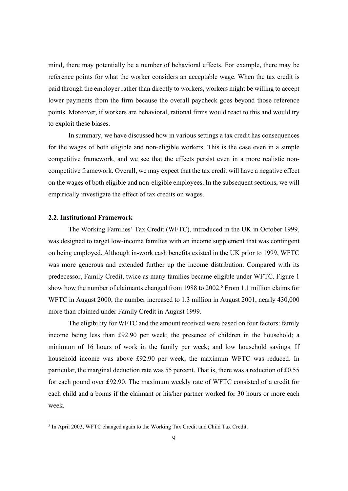mind, there may potentially be a number of behavioral effects. For example, there may be reference points for what the worker considers an acceptable wage. When the tax credit is paid through the employer rather than directly to workers, workers might be willing to accept lower payments from the firm because the overall paycheck goes beyond those reference points. Moreover, if workers are behavioral, rational firms would react to this and would try to exploit these biases.

In summary, we have discussed how in various settings a tax credit has consequences for the wages of both eligible and non-eligible workers. This is the case even in a simple competitive framework, and we see that the effects persist even in a more realistic noncompetitive framework. Overall, we may expect that the tax credit will have a negative effect on the wages of both eligible and non-eligible employees. In the subsequent sections, we will empirically investigate the effect of tax credits on wages.

#### **2.2. Institutional Framework**

-

The Working Families' Tax Credit (WFTC), introduced in the UK in October 1999, was designed to target low-income families with an income supplement that was contingent on being employed. Although in-work cash benefits existed in the UK prior to 1999, WFTC was more generous and extended further up the income distribution. Compared with its predecessor, Family Credit, twice as many families became eligible under WFTC. Figure 1 show how the number of claimants changed from 1988 to  $2002$ <sup>5</sup> From 1.1 million claims for WFTC in August 2000, the number increased to 1.3 million in August 2001, nearly 430,000 more than claimed under Family Credit in August 1999.

The eligibility for WFTC and the amount received were based on four factors: family income being less than £92.90 per week; the presence of children in the household; a minimum of 16 hours of work in the family per week; and low household savings. If household income was above £92.90 per week, the maximum WFTC was reduced. In particular, the marginal deduction rate was 55 percent. That is, there was a reduction of £0.55 for each pound over £92.90. The maximum weekly rate of WFTC consisted of a credit for each child and a bonus if the claimant or his/her partner worked for 30 hours or more each week.

<sup>&</sup>lt;sup>5</sup> In April 2003, WFTC changed again to the Working Tax Credit and Child Tax Credit.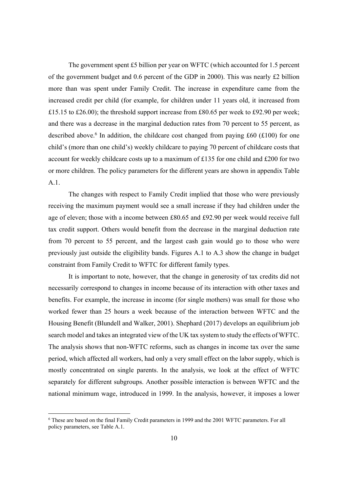The government spent £5 billion per year on WFTC (which accounted for 1.5 percent of the government budget and 0.6 percent of the GDP in 2000). This was nearly £2 billion more than was spent under Family Credit. The increase in expenditure came from the increased credit per child (for example, for children under 11 years old, it increased from £15.15 to £26.00); the threshold support increase from £80.65 per week to £92.90 per week; and there was a decrease in the marginal deduction rates from 70 percent to 55 percent, as described above.<sup>6</sup> In addition, the childcare cost changed from paying £60 (£100) for one child's (more than one child's) weekly childcare to paying 70 percent of childcare costs that account for weekly childcare costs up to a maximum of £135 for one child and £200 for two or more children. The policy parameters for the different years are shown in appendix Table A.1.

The changes with respect to Family Credit implied that those who were previously receiving the maximum payment would see a small increase if they had children under the age of eleven; those with a income between £80.65 and £92.90 per week would receive full tax credit support. Others would benefit from the decrease in the marginal deduction rate from 70 percent to 55 percent, and the largest cash gain would go to those who were previously just outside the eligibility bands. Figures A.1 to A.3 show the change in budget constraint from Family Credit to WFTC for different family types.

It is important to note, however, that the change in generosity of tax credits did not necessarily correspond to changes in income because of its interaction with other taxes and benefits. For example, the increase in income (for single mothers) was small for those who worked fewer than 25 hours a week because of the interaction between WFTC and the Housing Benefit (Blundell and Walker, 2001). Shephard (2017) develops an equilibrium job search model and takes an integrated view of the UK tax system to study the effects of WFTC. The analysis shows that non-WFTC reforms, such as changes in income tax over the same period, which affected all workers, had only a very small effect on the labor supply, which is mostly concentrated on single parents. In the analysis, we look at the effect of WFTC separately for different subgroups. Another possible interaction is between WFTC and the national minimum wage, introduced in 1999. In the analysis, however, it imposes a lower

-

<sup>6</sup> These are based on the final Family Credit parameters in 1999 and the 2001 WFTC parameters. For all policy parameters, see Table A.1.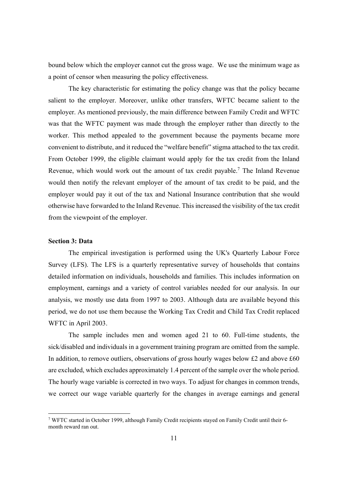bound below which the employer cannot cut the gross wage. We use the minimum wage as a point of censor when measuring the policy effectiveness.

The key characteristic for estimating the policy change was that the policy became salient to the employer. Moreover, unlike other transfers, WFTC became salient to the employer. As mentioned previously, the main difference between Family Credit and WFTC was that the WFTC payment was made through the employer rather than directly to the worker. This method appealed to the government because the payments became more convenient to distribute, and it reduced the "welfare benefit" stigma attached to the tax credit. From October 1999, the eligible claimant would apply for the tax credit from the Inland Revenue, which would work out the amount of tax credit payable.<sup>7</sup> The Inland Revenue would then notify the relevant employer of the amount of tax credit to be paid, and the employer would pay it out of the tax and National Insurance contribution that she would otherwise have forwarded to the Inland Revenue. This increased the visibility of the tax credit from the viewpoint of the employer.

## **Section 3: Data**

-

The empirical investigation is performed using the UK's Quarterly Labour Force Survey (LFS). The LFS is a quarterly representative survey of households that contains detailed information on individuals, households and families. This includes information on employment, earnings and a variety of control variables needed for our analysis. In our analysis, we mostly use data from 1997 to 2003. Although data are available beyond this period, we do not use them because the Working Tax Credit and Child Tax Credit replaced WFTC in April 2003.

The sample includes men and women aged 21 to 60. Full-time students, the sick/disabled and individuals in a government training program are omitted from the sample. In addition, to remove outliers, observations of gross hourly wages below  $£2$  and above  $£60$ are excluded, which excludes approximately 1.4 percent of the sample over the whole period. The hourly wage variable is corrected in two ways. To adjust for changes in common trends, we correct our wage variable quarterly for the changes in average earnings and general

<sup>7</sup> WFTC started in October 1999, although Family Credit recipients stayed on Family Credit until their 6 month reward ran out.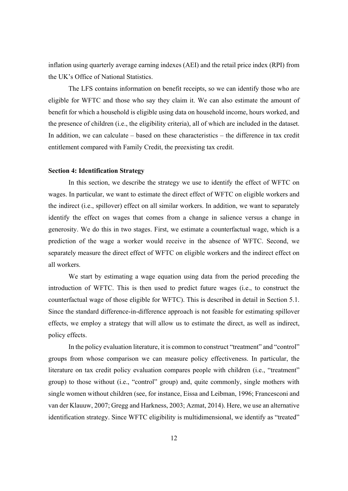inflation using quarterly average earning indexes (AEI) and the retail price index (RPI) from the UK's Office of National Statistics.

The LFS contains information on benefit receipts, so we can identify those who are eligible for WFTC and those who say they claim it. We can also estimate the amount of benefit for which a household is eligible using data on household income, hours worked, and the presence of children (i.e., the eligibility criteria), all of which are included in the dataset. In addition, we can calculate – based on these characteristics – the difference in tax credit entitlement compared with Family Credit, the preexisting tax credit.

### **Section 4: Identification Strategy**

In this section, we describe the strategy we use to identify the effect of WFTC on wages. In particular, we want to estimate the direct effect of WFTC on eligible workers and the indirect (i.e., spillover) effect on all similar workers. In addition, we want to separately identify the effect on wages that comes from a change in salience versus a change in generosity. We do this in two stages. First, we estimate a counterfactual wage, which is a prediction of the wage a worker would receive in the absence of WFTC. Second, we separately measure the direct effect of WFTC on eligible workers and the indirect effect on all workers.

We start by estimating a wage equation using data from the period preceding the introduction of WFTC. This is then used to predict future wages (i.e., to construct the counterfactual wage of those eligible for WFTC). This is described in detail in Section 5.1. Since the standard difference-in-difference approach is not feasible for estimating spillover effects, we employ a strategy that will allow us to estimate the direct, as well as indirect, policy effects.

In the policy evaluation literature, it is common to construct "treatment" and "control" groups from whose comparison we can measure policy effectiveness. In particular, the literature on tax credit policy evaluation compares people with children (i.e., "treatment" group) to those without (i.e., "control" group) and, quite commonly, single mothers with single women without children (see, for instance, Eissa and Leibman, 1996; Francesconi and van der Klauuw, 2007; Gregg and Harkness, 2003; Azmat, 2014). Here, we use an alternative identification strategy. Since WFTC eligibility is multidimensional, we identify as "treated"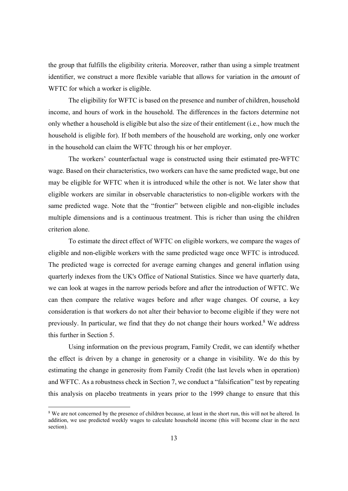the group that fulfills the eligibility criteria. Moreover, rather than using a simple treatment identifier, we construct a more flexible variable that allows for variation in the *amount* of WFTC for which a worker is eligible.

The eligibility for WFTC is based on the presence and number of children, household income, and hours of work in the household. The differences in the factors determine not only whether a household is eligible but also the size of their entitlement (i.e., how much the household is eligible for). If both members of the household are working, only one worker in the household can claim the WFTC through his or her employer.

The workers' counterfactual wage is constructed using their estimated pre-WFTC wage. Based on their characteristics, two workers can have the same predicted wage, but one may be eligible for WFTC when it is introduced while the other is not. We later show that eligible workers are similar in observable characteristics to non-eligible workers with the same predicted wage. Note that the "frontier" between eligible and non-eligible includes multiple dimensions and is a continuous treatment. This is richer than using the children criterion alone.

To estimate the direct effect of WFTC on eligible workers, we compare the wages of eligible and non-eligible workers with the same predicted wage once WFTC is introduced. The predicted wage is corrected for average earning changes and general inflation using quarterly indexes from the UK's Office of National Statistics. Since we have quarterly data, we can look at wages in the narrow periods before and after the introduction of WFTC. We can then compare the relative wages before and after wage changes. Of course, a key consideration is that workers do not alter their behavior to become eligible if they were not previously. In particular, we find that they do not change their hours worked.<sup>8</sup> We address this further in Section 5.

Using information on the previous program, Family Credit, we can identify whether the effect is driven by a change in generosity or a change in visibility. We do this by estimating the change in generosity from Family Credit (the last levels when in operation) and WFTC. As a robustness check in Section 7, we conduct a "falsification" test by repeating this analysis on placebo treatments in years prior to the 1999 change to ensure that this

-

<sup>&</sup>lt;sup>8</sup> We are not concerned by the presence of children because, at least in the short run, this will not be altered. In addition, we use predicted weekly wages to calculate household income (this will become clear in the next section).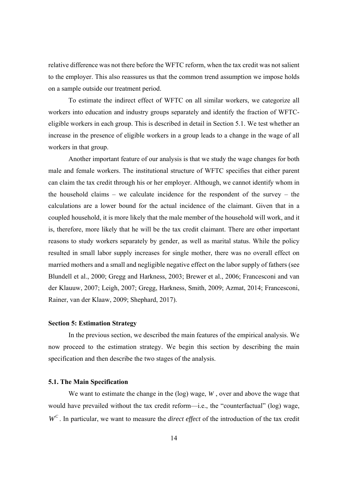relative difference was not there before the WFTC reform, when the tax credit was not salient to the employer. This also reassures us that the common trend assumption we impose holds on a sample outside our treatment period.

To estimate the indirect effect of WFTC on all similar workers, we categorize all workers into education and industry groups separately and identify the fraction of WFTCeligible workers in each group. This is described in detail in Section 5.1. We test whether an increase in the presence of eligible workers in a group leads to a change in the wage of all workers in that group.

Another important feature of our analysis is that we study the wage changes for both male and female workers. The institutional structure of WFTC specifies that either parent can claim the tax credit through his or her employer. Although, we cannot identify whom in the household claims – we calculate incidence for the respondent of the survey – the calculations are a lower bound for the actual incidence of the claimant. Given that in a coupled household, it is more likely that the male member of the household will work, and it is, therefore, more likely that he will be the tax credit claimant. There are other important reasons to study workers separately by gender, as well as marital status. While the policy resulted in small labor supply increases for single mother, there was no overall effect on married mothers and a small and negligible negative effect on the labor supply of fathers (see Blundell et al., 2000; Gregg and Harkness, 2003; Brewer et al., 2006; Francesconi and van der Klauuw, 2007; Leigh, 2007; Gregg, Harkness, Smith, 2009; Azmat, 2014; Francesconi, Rainer, van der Klaaw, 2009; Shephard, 2017).

### **Section 5: Estimation Strategy**

In the previous section, we described the main features of the empirical analysis. We now proceed to the estimation strategy. We begin this section by describing the main specification and then describe the two stages of the analysis.

#### **5.1. The Main Specification**

We want to estimate the change in the  $(log)$  wage,  $W$ , over and above the wage that would have prevailed without the tax credit reform—i.e., the "counterfactual" (log) wage,  $W<sup>C</sup>$ . In particular, we want to measure the *direct effect* of the introduction of the tax credit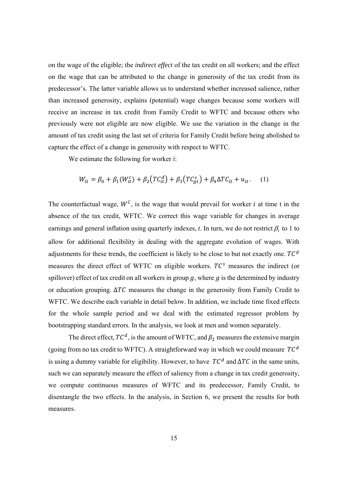on the wage of the eligible; the *indirect effect* of the tax credit on all workers; and the effect on the wage that can be attributed to the change in generosity of the tax credit from its predecessor's. The latter variable allows us to understand whether increased salience, rather than increased generosity, explains (potential) wage changes because some workers will receive an increase in tax credit from Family Credit to WFTC and because others who previously were not eligible are now eligible. We use the variation in the change in the amount of tax credit using the last set of criteria for Family Credit before being abolished to capture the effect of a change in generosity with respect to WFTC.

We estimate the following for worker *i*:

$$
W_{it} = \beta_0 + \beta_1 (W_{it}^c) + \beta_2 (TC_{it}^d) + \beta_3 (TC_{gt}^s) + \beta_4 \Delta TC_{it} + u_{it}. \tag{1}
$$

The counterfactual wage,  $W^c$ , is the wage that would prevail for worker *i* at time t in the absence of the tax credit, WFTC. We correct this wage variable for changes in average earnings and general inflation using quarterly indexes,  $t$ . In turn, we do not restrict  $\beta_1$  to 1 to allow for additional flexibility in dealing with the aggregate evolution of wages. With adjustments for these trends, the coefficient is likely to be close to but not exactly one.  $TC^d$ measures the direct effect of WFTC on eligible workers.  $TC^s$  measures the indirect (or spillover) effect of tax credit on all workers in group  $q$ , where  $q$  is the determined by industry or education grouping.  $\Delta TC$  measures the change in the generosity from Family Credit to WFTC. We describe each variable in detail below. In addition, we include time fixed effects for the whole sample period and we deal with the estimated regressor problem by bootstrapping standard errors. In the analysis, we look at men and women separately.

The direct effect,  $TC^d$ , is the amount of WFTC, and  $\beta_2$  measures the extensive margin (going from no tax credit to WFTC). A straightforward way in which we could measure  $TC^d$ is using a dummy variable for eligibility. However, to have  $TC^d$  and  $\Delta TC$  in the same units, such we can separately measure the effect of saliency from a change in tax credit generosity, we compute continuous measures of WFTC and its predecessor, Family Credit, to disentangle the two effects. In the analysis, in Section 6, we present the results for both measures.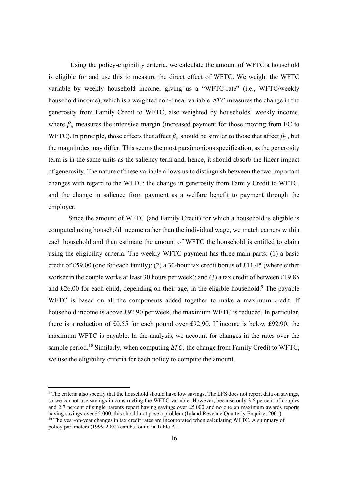Using the policy-eligibility criteria, we calculate the amount of WFTC a household is eligible for and use this to measure the direct effect of WFTC. We weight the WFTC variable by weekly household income, giving us a "WFTC-rate" (i.e., WFTC/weekly household income), which is a weighted non-linear variable.  $\Delta T C$  measures the change in the generosity from Family Credit to WFTC, also weighted by households' weekly income, where  $\beta_4$  measures the intensive margin (increased payment for those moving from FC to WFTC). In principle, those effects that affect  $\beta_4$  should be similar to those that affect  $\beta_2$ , but the magnitudes may differ. This seems the most parsimonious specification, as the generosity term is in the same units as the saliency term and, hence, it should absorb the linear impact of generosity. The nature of these variable allows us to distinguish between the two important changes with regard to the WFTC: the change in generosity from Family Credit to WFTC, and the change in salience from payment as a welfare benefit to payment through the employer.

Since the amount of WFTC (and Family Credit) for which a household is eligible is computed using household income rather than the individual wage, we match earners within each household and then estimate the amount of WFTC the household is entitled to claim using the eligibility criteria. The weekly WFTC payment has three main parts: (1) a basic credit of £59.00 (one for each family); (2) a 30-hour tax credit bonus of £11.45 (where either worker in the couple works at least 30 hours per week); and (3) a tax credit of between £19.85 and  $£26.00$  for each child, depending on their age, in the eligible household.<sup>9</sup> The payable WFTC is based on all the components added together to make a maximum credit. If household income is above £92.90 per week, the maximum WFTC is reduced. In particular, there is a reduction of £0.55 for each pound over £92.90. If income is below £92.90, the maximum WFTC is payable. In the analysis, we account for changes in the rates over the sample period.<sup>10</sup> Similarly, when computing  $\Delta T C$ , the change from Family Credit to WFTC, we use the eligibility criteria for each policy to compute the amount.

 $\overline{a}$ 

<sup>&</sup>lt;sup>9</sup> The criteria also specify that the household should have low savings. The LFS does not report data on savings, so we cannot use savings in constructing the WFTC variable. However, because only 3.6 percent of couples and 2.7 percent of single parents report having savings over £5,000 and no one on maximum awards reports having savings over £5,000, this should not pose a problem (Inland Revenue Quarterly Enquiry, 2001).  $10$  The year-on-year changes in tax credit rates are incorporated when calculating WFTC. A summary of policy parameters (1999-2002) can be found in Table A.1.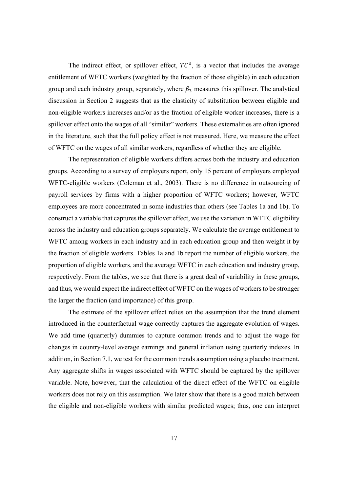The indirect effect, or spillover effect,  $TC^s$ , is a vector that includes the average entitlement of WFTC workers (weighted by the fraction of those eligible) in each education group and each industry group, separately, where  $\beta_3$  measures this spillover. The analytical discussion in Section 2 suggests that as the elasticity of substitution between eligible and non-eligible workers increases and/or as the fraction of eligible worker increases, there is a spillover effect onto the wages of all "similar" workers. These externalities are often ignored in the literature, such that the full policy effect is not measured. Here, we measure the effect of WFTC on the wages of all similar workers, regardless of whether they are eligible.

The representation of eligible workers differs across both the industry and education groups. According to a survey of employers report, only 15 percent of employers employed WFTC-eligible workers (Coleman et al., 2003). There is no difference in outsourcing of payroll services by firms with a higher proportion of WFTC workers; however, WFTC employees are more concentrated in some industries than others (see Tables 1a and 1b). To construct a variable that captures the spillover effect, we use the variation in WFTC eligibility across the industry and education groups separately. We calculate the average entitlement to WFTC among workers in each industry and in each education group and then weight it by the fraction of eligible workers. Tables 1a and 1b report the number of eligible workers, the proportion of eligible workers, and the average WFTC in each education and industry group, respectively. From the tables, we see that there is a great deal of variability in these groups, and thus, we would expect the indirect effect of WFTC on the wages of workers to be stronger the larger the fraction (and importance) of this group.

The estimate of the spillover effect relies on the assumption that the trend element introduced in the counterfactual wage correctly captures the aggregate evolution of wages. We add time (quarterly) dummies to capture common trends and to adjust the wage for changes in country-level average earnings and general inflation using quarterly indexes. In addition, in Section 7.1, we test for the common trends assumption using a placebo treatment. Any aggregate shifts in wages associated with WFTC should be captured by the spillover variable. Note, however, that the calculation of the direct effect of the WFTC on eligible workers does not rely on this assumption. We later show that there is a good match between the eligible and non-eligible workers with similar predicted wages; thus, one can interpret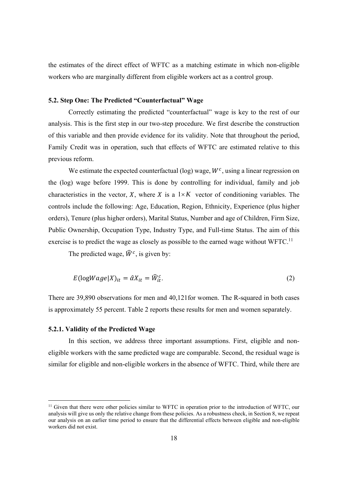the estimates of the direct effect of WFTC as a matching estimate in which non-eligible workers who are marginally different from eligible workers act as a control group.

## **5.2. Step One: The Predicted "Counterfactual" Wage**

Correctly estimating the predicted "counterfactual" wage is key to the rest of our analysis. This is the first step in our two-step procedure. We first describe the construction of this variable and then provide evidence for its validity. Note that throughout the period, Family Credit was in operation, such that effects of WFTC are estimated relative to this previous reform.

We estimate the expected counterfactual (log) wage,  $W<sup>c</sup>$ , using a linear regression on the (log) wage before 1999. This is done by controlling for individual, family and job characteristics in the vector,  $X$ , where  $X$  is a  $1 \times K$  vector of conditioning variables. The controls include the following: Age, Education, Region, Ethnicity, Experience (plus higher orders), Tenure (plus higher orders), Marital Status, Number and age of Children, Firm Size, Public Ownership, Occupation Type, Industry Type, and Full-time Status. The aim of this exercise is to predict the wage as closely as possible to the earned wage without WFTC.<sup>11</sup>

The predicted wage,  $\hat{W}^c$ , is given by:

$$
E(\log Wage|X)_{it} = \hat{\alpha}X_{it} = \hat{W}_{it}^c.
$$
 (2)

There are 39,890 observations for men and 40,121for women. The R-squared in both cases is approximately 55 percent. Table 2 reports these results for men and women separately.

### **5.2.1. Validity of the Predicted Wage**

-

In this section, we address three important assumptions. First, eligible and noneligible workers with the same predicted wage are comparable. Second, the residual wage is similar for eligible and non-eligible workers in the absence of WFTC. Third, while there are

<sup>&</sup>lt;sup>11</sup> Given that there were other policies similar to WFTC in operation prior to the introduction of WFTC, our analysis will give us only the relative change from these policies. As a robustness check, in Section 8, we repeat our analysis on an earlier time period to ensure that the differential effects between eligible and non-eligible workers did not exist.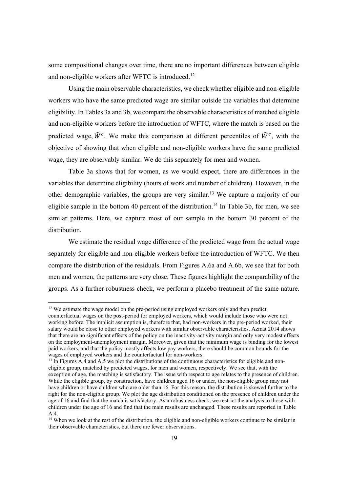some compositional changes over time, there are no important differences between eligible and non-eligible workers after WFTC is introduced.<sup>12</sup>

Using the main observable characteristics, we check whether eligible and non-eligible workers who have the same predicted wage are similar outside the variables that determine eligibility. In Tables 3a and 3b, we compare the observable characteristics of matched eligible and non-eligible workers before the introduction of WFTC, where the match is based on the predicted wage,  $\hat{W}^c$ . We make this comparison at different percentiles of  $\hat{W}^c$ , with the objective of showing that when eligible and non-eligible workers have the same predicted wage, they are observably similar. We do this separately for men and women.

Table 3a shows that for women, as we would expect, there are differences in the variables that determine eligibility (hours of work and number of children). However, in the other demographic variables, the groups are very similar.13 We capture a majority of our eligible sample in the bottom 40 percent of the distribution.<sup>14</sup> In Table 3b, for men, we see similar patterns. Here, we capture most of our sample in the bottom 30 percent of the distribution.

We estimate the residual wage difference of the predicted wage from the actual wage separately for eligible and non-eligible workers before the introduction of WFTC. We then compare the distribution of the residuals. From Figures A.6a and A.6b, we see that for both men and women, the patterns are very close. These figures highlight the comparability of the groups. As a further robustness check, we perform a placebo treatment of the same nature.

-

<sup>&</sup>lt;sup>12</sup> We estimate the wage model on the pre-period using employed workers only and then predict counterfactual wages on the post-period for employed workers, which would include those who were not working before. The implicit assumption is, therefore that, had non-workers in the pre-period worked, their salary would be close to other employed workers with similar observable characteristics. Azmat 2014 shows that there are no significant effects of the policy on the inactivity-activity margin and only very modest effects on the employment-unemployment margin. Moreover, given that the minimum wage is binding for the lowest paid workers, and that the policy mostly affects low pay workers, there should be common bounds for the wages of employed workers and the counterfactual for non-workers.

 $^{13}$  In Figures A.4 and A.5 we plot the distributions of the continuous characteristics for eligible and noneligible group, matched by predicted wages, for men and women, respectively. We see that, with the exception of age, the matching is satisfactory. The issue with respect to age relates to the presence of children. While the eligible group, by construction, have children aged 16 or under, the non-eligible group may not have children or have children who are older than 16. For this reason, the distribution is skewed further to the right for the non-eligible group. We plot the age distribution conditioned on the presence of children under the age of 16 and find that the match is satisfactory. As a robustness check, we restrict the analysis to those with children under the age of 16 and find that the main results are unchanged. These results are reported in Table  $\Delta$   $\Delta$ 

<sup>&</sup>lt;sup>14</sup> When we look at the rest of the distribution, the eligible and non-eligible workers continue to be similar in their observable characteristics, but there are fewer observations.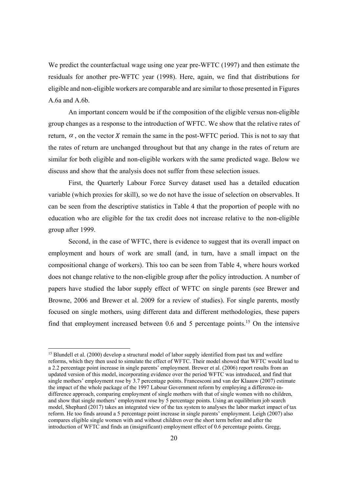We predict the counterfactual wage using one year pre-WFTC (1997) and then estimate the residuals for another pre-WFTC year (1998). Here, again, we find that distributions for eligible and non-eligible workers are comparable and are similar to those presented in Figures A.6a and A.6b.

An important concern would be if the composition of the eligible versus non-eligible group changes as a response to the introduction of WFTC. We show that the relative rates of return,  $\alpha$ , on the vector X remain the same in the post-WFTC period. This is not to say that the rates of return are unchanged throughout but that any change in the rates of return are similar for both eligible and non-eligible workers with the same predicted wage. Below we discuss and show that the analysis does not suffer from these selection issues.

First, the Quarterly Labour Force Survey dataset used has a detailed education variable (which proxies for skill), so we do not have the issue of selection on observables. It can be seen from the descriptive statistics in Table 4 that the proportion of people with no education who are eligible for the tax credit does not increase relative to the non-eligible group after 1999.

Second, in the case of WFTC, there is evidence to suggest that its overall impact on employment and hours of work are small (and, in turn, have a small impact on the compositional change of workers). This too can be seen from Table 4, where hours worked does not change relative to the non-eligible group after the policy introduction. A number of papers have studied the labor supply effect of WFTC on single parents (see Brewer and Browne, 2006 and Brewer et al. 2009 for a review of studies). For single parents, mostly focused on single mothers, using different data and different methodologies, these papers find that employment increased between 0.6 and 5 percentage points.<sup>15</sup> On the intensive

1

<sup>&</sup>lt;sup>15</sup> Blundell et al. (2000) develop a structural model of labor supply identified from past tax and welfare reforms, which they then used to simulate the effect of WFTC. Their model showed that WFTC would lead to a 2.2 percentage point increase in single parents' employment. Brewer et al. (2006) report results from an updated version of this model, incorporating evidence over the period WFTC was introduced, and find that single mothers' employment rose by 3.7 percentage points. Francesconi and van der Klaauw (2007) estimate the impact of the whole package of the 1997 Labour Government reform by employing a difference-indifference approach, comparing employment of single mothers with that of single women with no children, and show that single mothers' employment rose by 5 percentage points. Using an equilibrium job search model, Shephard (2017) takes an integrated view of the tax system to analyses the labor market impact of tax reform. He too finds around a 5 percentage point increase in single parents' employment. Leigh (2007) also compares eligible single women with and without children over the short term before and after the introduction of WFTC and finds an (insignificant) employment effect of 0.6 percentage points. Gregg,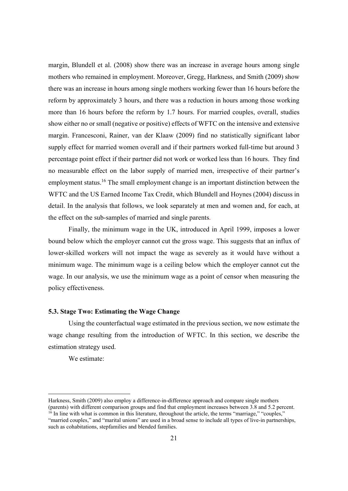margin, Blundell et al. (2008) show there was an increase in average hours among single mothers who remained in employment. Moreover, Gregg, Harkness, and Smith (2009) show there was an increase in hours among single mothers working fewer than 16 hours before the reform by approximately 3 hours, and there was a reduction in hours among those working more than 16 hours before the reform by 1.7 hours. For married couples, overall, studies show either no or small (negative or positive) effects of WFTC on the intensive and extensive margin. Francesconi, Rainer, van der Klaaw (2009) find no statistically significant labor supply effect for married women overall and if their partners worked full-time but around 3 percentage point effect if their partner did not work or worked less than 16 hours. They find no measurable effect on the labor supply of married men, irrespective of their partner's employment status.<sup>16</sup> The small employment change is an important distinction between the WFTC and the US Earned Income Tax Credit, which Blundell and Hoynes (2004) discuss in detail. In the analysis that follows, we look separately at men and women and, for each, at the effect on the sub-samples of married and single parents.

Finally, the minimum wage in the UK, introduced in April 1999, imposes a lower bound below which the employer cannot cut the gross wage. This suggests that an influx of lower-skilled workers will not impact the wage as severely as it would have without a minimum wage. The minimum wage is a ceiling below which the employer cannot cut the wage. In our analysis, we use the minimum wage as a point of censor when measuring the policy effectiveness.

## **5.3. Stage Two: Estimating the Wage Change**

Using the counterfactual wage estimated in the previous section, we now estimate the wage change resulting from the introduction of WFTC. In this section, we describe the estimation strategy used.

We estimate:

 $\overline{a}$ 

Harkness, Smith (2009) also employ a difference-in-difference approach and compare single mothers (parents) with different comparison groups and find that employment increases between 3.8 and 5.2 percent.

 $\frac{16}{16}$  In line with what is common in this literature, throughout the article, the terms "marriage," "couples," "married couples," and "marital unions" are used in a broad sense to include all types of live-in partnerships, such as cohabitations, stepfamilies and blended families.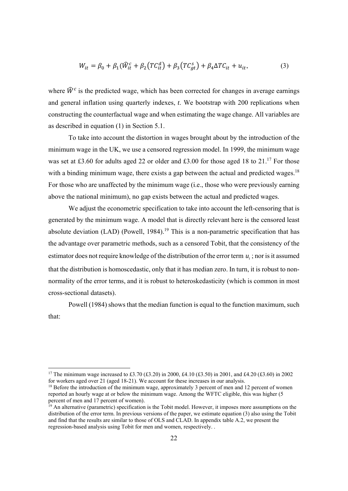$$
W_{it} = \beta_0 + \beta_1 (\widehat{W}_{it}^c + \beta_2 (TC_{it}^d) + \beta_3 (TC_{gt}^s) + \beta_4 \Delta TC_{it} + u_{it},
$$
\n(3)

where  $\hat{W}^c$  is the predicted wage, which has been corrected for changes in average earnings and general inflation using quarterly indexes, *t*. We bootstrap with 200 replications when constructing the counterfactual wage and when estimating the wage change. All variables are as described in equation (1) in Section 5.1.

To take into account the distortion in wages brought about by the introduction of the minimum wage in the UK, we use a censored regression model. In 1999, the minimum wage was set at £3.60 for adults aged 22 or older and £3.00 for those aged 18 to 21.<sup>17</sup> For those with a binding minimum wage, there exists a gap between the actual and predicted wages.<sup>18</sup> For those who are unaffected by the minimum wage (i.e., those who were previously earning above the national minimum), no gap exists between the actual and predicted wages.

We adjust the econometric specification to take into account the left-censoring that is generated by the minimum wage. A model that is directly relevant here is the censored least absolute deviation  $(LAD)$  (Powell, 1984).<sup>19</sup> This is a non-parametric specification that has the advantage over parametric methods, such as a censored Tobit, that the consistency of the estimator does not require knowledge of the distribution of the error term  $u_i$ ; nor is it assumed that the distribution is homoscedastic, only that it has median zero. In turn, it is robust to nonnormality of the error terms, and it is robust to heteroskedasticity (which is common in most cross-sectional datasets).

Powell (1984) shows that the median function is equal to the function maximum, such that:

-

<sup>&</sup>lt;sup>17</sup> The minimum wage increased to £3.70 (£3.20) in 2000, £4.10 (£3.50) in 2001, and £4.20 (£3.60) in 2002 for workers aged over 21 (aged 18-21). We account for these increases in our analysis.

 $^{18}$  Before the introduction of the minimum wage, approximately 3 percent of men and 12 percent of women reported an hourly wage at or below the minimum wage. Among the WFTC eligible, this was higher (5 percent of men and 17 percent of women).

 $\frac{1}{19}$  An alternative (parametric) specification is the Tobit model. However, it imposes more assumptions on the distribution of the error term. In previous versions of the paper, we estimate equation (3) also using the Tobit and find that the results are similar to those of OLS and CLAD. In appendix table A.2, we present the regression-based analysis using Tobit for men and women, respectively. .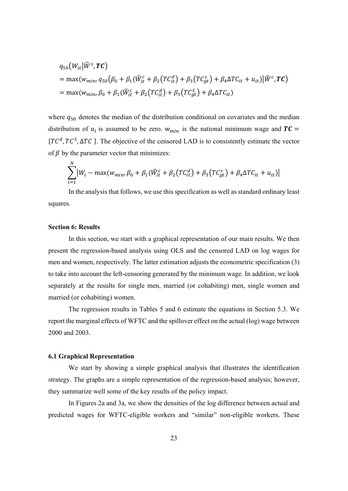$$
q_{50}(W_{it}|\hat{W}^s, \text{TC})
$$
  
= max(w<sub>min</sub>, q<sub>50</sub>(β<sub>0</sub> + β<sub>1</sub>(W<sub>it</sub><sup>c</sup> + β<sub>2</sub>(TC<sub>it</sub><sup>d</sup>) + β<sub>3</sub>(TC<sub>gt</sub><sup>s</sup>) + β<sub>4</sub>ΔTC<sub>it</sub> + u<sub>it</sub>)|W<sup>c</sup>, TC)  
= max(w<sub>min</sub>, β<sub>0</sub> + β<sub>1</sub>(W<sub>it</sub><sup>c</sup> + β<sub>2</sub>(TC<sub>it</sub><sup>d</sup>) + β<sub>3</sub>(TC<sub>gt</sub><sup>s</sup>) + β<sub>4</sub>ΔTC<sub>it</sub>)

where  $q_{50}$  denotes the median of the distribution conditional on covariates and the median distribution of  $u_i$  is assumed to be zero.  $w_{min}$  is the national minimum wage and  $TC =$  ${TC<sup>d</sup>, TC<sup>S</sup>, \Delta TC}$ . The objective of the censored LAD is to consistently estimate the vector of  $\beta$  by the parameter vector that minimizes:

$$
\sum_{i=1}^{N} |W_i - \max(w_{min}, \beta_0 + \beta_1(\widehat{W}_{it}^c + \beta_2(TC_{it}^d) + \beta_3(TC_{gt}^s) + \beta_4\Delta TC_{it} + u_{it})|
$$

In the analysis that follows, we use this specification as well as standard ordinary least squares.

## **Section 6: Results**

In this section, we start with a graphical representation of our main results. We then present the regression-based analysis using OLS and the censored LAD on log wages for men and women, respectively. The latter estimation adjusts the econometric specification (3) to take into account the left-censoring generated by the minimum wage. In addition, we look separately at the results for single men, married (or cohabiting) men, single women and married (or cohabiting) women.

The regression results in Tables 5 and 6 estimate the equations in Section 5.3. We report the marginal effects of WFTC and the spillover effect on the actual (log) wage between 2000 and 2003.

### **6.1 Graphical Representation**

We start by showing a simple graphical analysis that illustrates the identification strategy. The graphs are a simple representation of the regression-based analysis; however, they summarize well some of the key results of the policy impact.

In Figures 2a and 3a, we show the densities of the log difference between actual and predicted wages for WFTC-eligible workers and "similar" non-eligible workers. These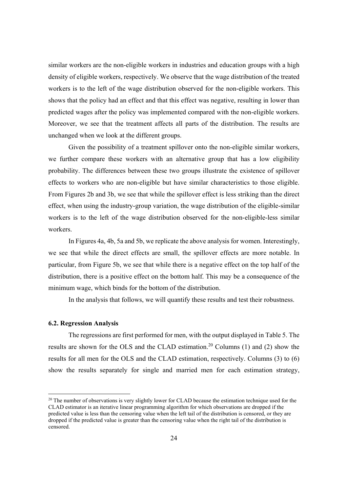similar workers are the non-eligible workers in industries and education groups with a high density of eligible workers, respectively. We observe that the wage distribution of the treated workers is to the left of the wage distribution observed for the non-eligible workers. This shows that the policy had an effect and that this effect was negative, resulting in lower than predicted wages after the policy was implemented compared with the non-eligible workers. Moreover, we see that the treatment affects all parts of the distribution. The results are unchanged when we look at the different groups.

Given the possibility of a treatment spillover onto the non-eligible similar workers, we further compare these workers with an alternative group that has a low eligibility probability. The differences between these two groups illustrate the existence of spillover effects to workers who are non-eligible but have similar characteristics to those eligible. From Figures 2b and 3b, we see that while the spillover effect is less striking than the direct effect, when using the industry-group variation, the wage distribution of the eligible-similar workers is to the left of the wage distribution observed for the non-eligible-less similar workers.

In Figures 4a, 4b, 5a and 5b, we replicate the above analysis for women. Interestingly, we see that while the direct effects are small, the spillover effects are more notable. In particular, from Figure 5b, we see that while there is a negative effect on the top half of the distribution, there is a positive effect on the bottom half. This may be a consequence of the minimum wage, which binds for the bottom of the distribution.

In the analysis that follows, we will quantify these results and test their robustness.

#### **6.2. Regression Analysis**

 $\overline{a}$ 

The regressions are first performed for men, with the output displayed in Table 5. The results are shown for the OLS and the CLAD estimation.<sup>20</sup> Columns  $(1)$  and  $(2)$  show the results for all men for the OLS and the CLAD estimation, respectively. Columns (3) to (6) show the results separately for single and married men for each estimation strategy,

<sup>&</sup>lt;sup>20</sup> The number of observations is very slightly lower for CLAD because the estimation technique used for the CLAD estimator is an iterative linear programming algorithm for which observations are dropped if the predicted value is less than the censoring value when the left tail of the distribution is censored, or they are dropped if the predicted value is greater than the censoring value when the right tail of the distribution is censored.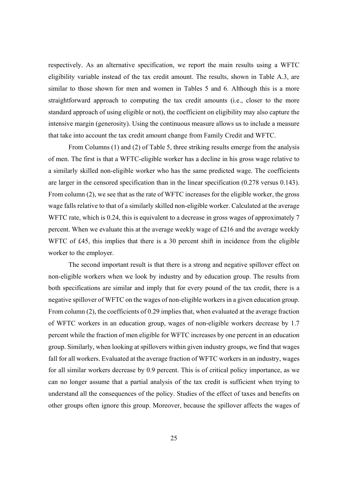respectively. As an alternative specification, we report the main results using a WFTC eligibility variable instead of the tax credit amount. The results, shown in Table A.3, are similar to those shown for men and women in Tables 5 and 6. Although this is a more straightforward approach to computing the tax credit amounts (i.e., closer to the more standard approach of using eligible or not), the coefficient on eligibility may also capture the intensive margin (generosity). Using the continuous measure allows us to include a measure that take into account the tax credit amount change from Family Credit and WFTC.

From Columns (1) and (2) of Table 5, three striking results emerge from the analysis of men. The first is that a WFTC-eligible worker has a decline in his gross wage relative to a similarly skilled non-eligible worker who has the same predicted wage. The coefficients are larger in the censored specification than in the linear specification (0.278 versus 0.143). From column (2), we see that as the rate of WFTC increases for the eligible worker, the gross wage falls relative to that of a similarly skilled non-eligible worker. Calculated at the average WFTC rate, which is 0.24, this is equivalent to a decrease in gross wages of approximately 7 percent. When we evaluate this at the average weekly wage of £216 and the average weekly WFTC of £45, this implies that there is a 30 percent shift in incidence from the eligible worker to the employer.

The second important result is that there is a strong and negative spillover effect on non-eligible workers when we look by industry and by education group. The results from both specifications are similar and imply that for every pound of the tax credit, there is a negative spillover of WFTC on the wages of non-eligible workers in a given education group. From column (2), the coefficients of 0.29 implies that, when evaluated at the average fraction of WFTC workers in an education group, wages of non-eligible workers decrease by 1.7 percent while the fraction of men eligible for WFTC increases by one percent in an education group. Similarly, when looking at spillovers within given industry groups, we find that wages fall for all workers. Evaluated at the average fraction of WFTC workers in an industry, wages for all similar workers decrease by 0.9 percent. This is of critical policy importance, as we can no longer assume that a partial analysis of the tax credit is sufficient when trying to understand all the consequences of the policy. Studies of the effect of taxes and benefits on other groups often ignore this group. Moreover, because the spillover affects the wages of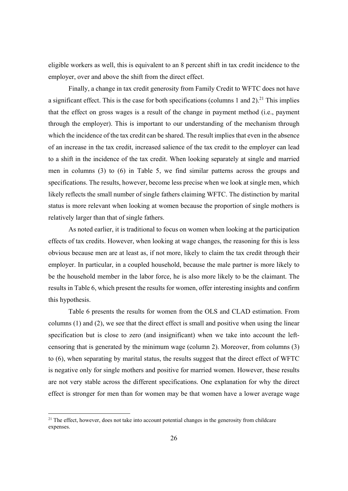eligible workers as well, this is equivalent to an 8 percent shift in tax credit incidence to the employer, over and above the shift from the direct effect.

Finally, a change in tax credit generosity from Family Credit to WFTC does not have a significant effect. This is the case for both specifications (columns 1 and 2).<sup>21</sup> This implies that the effect on gross wages is a result of the change in payment method (i.e., payment through the employer). This is important to our understanding of the mechanism through which the incidence of the tax credit can be shared. The result implies that even in the absence of an increase in the tax credit, increased salience of the tax credit to the employer can lead to a shift in the incidence of the tax credit. When looking separately at single and married men in columns (3) to (6) in Table 5, we find similar patterns across the groups and specifications. The results, however, become less precise when we look at single men, which likely reflects the small number of single fathers claiming WFTC. The distinction by marital status is more relevant when looking at women because the proportion of single mothers is relatively larger than that of single fathers.

As noted earlier, it is traditional to focus on women when looking at the participation effects of tax credits. However, when looking at wage changes, the reasoning for this is less obvious because men are at least as, if not more, likely to claim the tax credit through their employer. In particular, in a coupled household, because the male partner is more likely to be the household member in the labor force, he is also more likely to be the claimant. The results in Table 6, which present the results for women, offer interesting insights and confirm this hypothesis.

Table 6 presents the results for women from the OLS and CLAD estimation. From columns (1) and (2), we see that the direct effect is small and positive when using the linear specification but is close to zero (and insignificant) when we take into account the leftcensoring that is generated by the minimum wage (column 2). Moreover, from columns (3) to (6), when separating by marital status, the results suggest that the direct effect of WFTC is negative only for single mothers and positive for married women. However, these results are not very stable across the different specifications. One explanation for why the direct effect is stronger for men than for women may be that women have a lower average wage

-

 $2<sup>1</sup>$  The effect, however, does not take into account potential changes in the generosity from childcare expenses.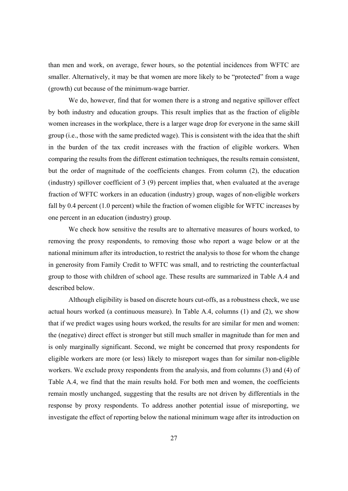than men and work, on average, fewer hours, so the potential incidences from WFTC are smaller. Alternatively, it may be that women are more likely to be "protected" from a wage (growth) cut because of the minimum-wage barrier.

We do, however, find that for women there is a strong and negative spillover effect by both industry and education groups. This result implies that as the fraction of eligible women increases in the workplace, there is a larger wage drop for everyone in the same skill group (i.e., those with the same predicted wage). This is consistent with the idea that the shift in the burden of the tax credit increases with the fraction of eligible workers. When comparing the results from the different estimation techniques, the results remain consistent, but the order of magnitude of the coefficients changes. From column (2), the education (industry) spillover coefficient of 3 (9) percent implies that, when evaluated at the average fraction of WFTC workers in an education (industry) group, wages of non-eligible workers fall by 0.4 percent (1.0 percent) while the fraction of women eligible for WFTC increases by one percent in an education (industry) group.

We check how sensitive the results are to alternative measures of hours worked, to removing the proxy respondents, to removing those who report a wage below or at the national minimum after its introduction, to restrict the analysis to those for whom the change in generosity from Family Credit to WFTC was small, and to restricting the counterfactual group to those with children of school age. These results are summarized in Table A.4 and described below.

Although eligibility is based on discrete hours cut-offs, as a robustness check, we use actual hours worked (a continuous measure). In Table A.4, columns (1) and (2), we show that if we predict wages using hours worked, the results for are similar for men and women: the (negative) direct effect is stronger but still much smaller in magnitude than for men and is only marginally significant. Second, we might be concerned that proxy respondents for eligible workers are more (or less) likely to misreport wages than for similar non-eligible workers. We exclude proxy respondents from the analysis, and from columns (3) and (4) of Table A.4, we find that the main results hold. For both men and women, the coefficients remain mostly unchanged, suggesting that the results are not driven by differentials in the response by proxy respondents. To address another potential issue of misreporting, we investigate the effect of reporting below the national minimum wage after its introduction on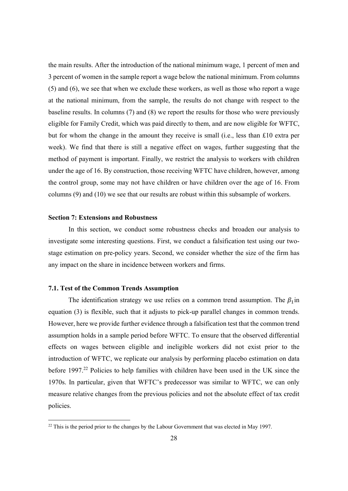the main results. After the introduction of the national minimum wage, 1 percent of men and 3 percent of women in the sample report a wage below the national minimum. From columns (5) and (6), we see that when we exclude these workers, as well as those who report a wage at the national minimum, from the sample, the results do not change with respect to the baseline results. In columns (7) and (8) we report the results for those who were previously eligible for Family Credit, which was paid directly to them, and are now eligible for WFTC, but for whom the change in the amount they receive is small (i.e., less than £10 extra per week). We find that there is still a negative effect on wages, further suggesting that the method of payment is important. Finally, we restrict the analysis to workers with children under the age of 16. By construction, those receiving WFTC have children, however, among the control group, some may not have children or have children over the age of 16. From columns (9) and (10) we see that our results are robust within this subsample of workers.

#### **Section 7: Extensions and Robustness**

In this section, we conduct some robustness checks and broaden our analysis to investigate some interesting questions. First, we conduct a falsification test using our twostage estimation on pre-policy years. Second, we consider whether the size of the firm has any impact on the share in incidence between workers and firms.

#### **7.1. Test of the Common Trends Assumption**

-

The identification strategy we use relies on a common trend assumption. The  $\beta_1$ in equation (3) is flexible, such that it adjusts to pick-up parallel changes in common trends. However, here we provide further evidence through a falsification test that the common trend assumption holds in a sample period before WFTC. To ensure that the observed differential effects on wages between eligible and ineligible workers did not exist prior to the introduction of WFTC, we replicate our analysis by performing placebo estimation on data before 1997.<sup>22</sup> Policies to help families with children have been used in the UK since the 1970s. In particular, given that WFTC's predecessor was similar to WFTC, we can only measure relative changes from the previous policies and not the absolute effect of tax credit policies.

 $^{22}$  This is the period prior to the changes by the Labour Government that was elected in May 1997.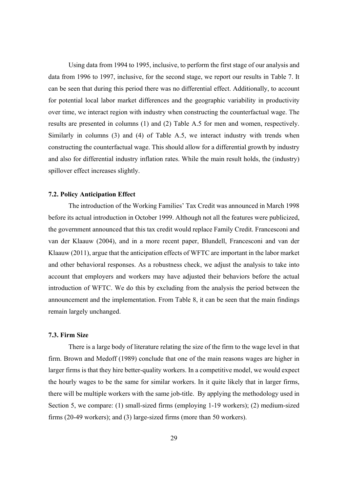Using data from 1994 to 1995, inclusive, to perform the first stage of our analysis and data from 1996 to 1997, inclusive, for the second stage, we report our results in Table 7. It can be seen that during this period there was no differential effect. Additionally, to account for potential local labor market differences and the geographic variability in productivity over time, we interact region with industry when constructing the counterfactual wage. The results are presented in columns (1) and (2) Table A.5 for men and women, respectively. Similarly in columns (3) and (4) of Table A.5, we interact industry with trends when constructing the counterfactual wage. This should allow for a differential growth by industry and also for differential industry inflation rates. While the main result holds, the (industry) spillover effect increases slightly.

#### **7.2. Policy Anticipation Effect**

The introduction of the Working Families' Tax Credit was announced in March 1998 before its actual introduction in October 1999. Although not all the features were publicized, the government announced that this tax credit would replace Family Credit. Francesconi and van der Klaauw (2004), and in a more recent paper, Blundell, Francesconi and van der Klaauw (2011), argue that the anticipation effects of WFTC are important in the labor market and other behavioral responses. As a robustness check, we adjust the analysis to take into account that employers and workers may have adjusted their behaviors before the actual introduction of WFTC. We do this by excluding from the analysis the period between the announcement and the implementation. From Table 8, it can be seen that the main findings remain largely unchanged.

#### **7.3. Firm Size**

There is a large body of literature relating the size of the firm to the wage level in that firm. Brown and Medoff (1989) conclude that one of the main reasons wages are higher in larger firms is that they hire better-quality workers. In a competitive model, we would expect the hourly wages to be the same for similar workers. In it quite likely that in larger firms, there will be multiple workers with the same job-title. By applying the methodology used in Section 5, we compare: (1) small-sized firms (employing 1-19 workers); (2) medium-sized firms (20-49 workers); and (3) large-sized firms (more than 50 workers).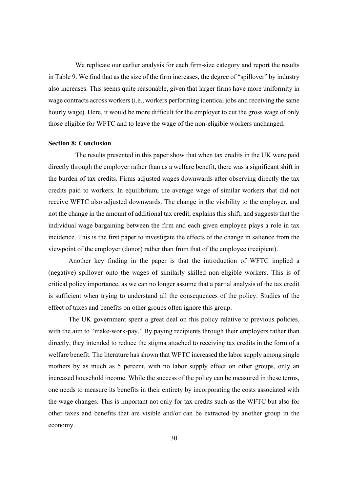We replicate our earlier analysis for each firm-size category and report the results in Table 9. We find that as the size of the firm increases, the degree of "spillover" by industry also increases. This seems quite reasonable, given that larger firms have more uniformity in wage contracts across workers (i.e., workers performing identical jobs and receiving the same hourly wage). Here, it would be more difficult for the employer to cut the gross wage of only those eligible for WFTC and to leave the wage of the non-eligible workers unchanged.

#### **Section 8: Conclusion**

The results presented in this paper show that when tax credits in the UK were paid directly through the employer rather than as a welfare benefit, there was a significant shift in the burden of tax credits. Firms adjusted wages downwards after observing directly the tax credits paid to workers. In equilibrium, the average wage of similar workers that did not receive WFTC also adjusted downwards. The change in the visibility to the employer, and not the change in the amount of additional tax credit, explains this shift, and suggests that the individual wage bargaining between the firm and each given employee plays a role in tax incidence. This is the first paper to investigate the effects of the change in salience from the viewpoint of the employer (donor) rather than from that of the employee (recipient).

Another key finding in the paper is that the introduction of WFTC implied a (negative) spillover onto the wages of similarly skilled non-eligible workers. This is of critical policy importance, as we can no longer assume that a partial analysis of the tax credit is sufficient when trying to understand all the consequences of the policy. Studies of the effect of taxes and benefits on other groups often ignore this group.

The UK government spent a great deal on this policy relative to previous policies, with the aim to "make-work-pay." By paying recipients through their employers rather than directly, they intended to reduce the stigma attached to receiving tax credits in the form of a welfare benefit. The literature has shown that WFTC increased the labor supply among single mothers by as much as 5 percent, with no labor supply effect on other groups, only an increased household income. While the success of the policy can be measured in these terms, one needs to measure its benefits in their entirety by incorporating the costs associated with the wage changes. This is important not only for tax credits such as the WFTC but also for other taxes and benefits that are visible and/or can be extracted by another group in the economy.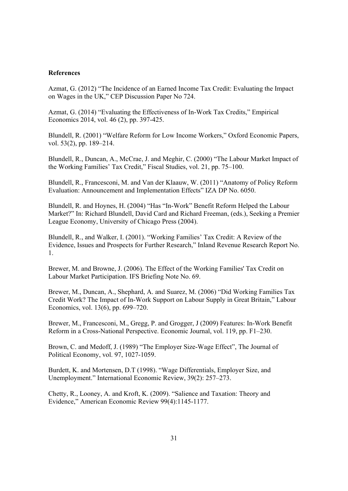#### **References**

Azmat, G. (2012) "The Incidence of an Earned Income Tax Credit: Evaluating the Impact on Wages in the UK," CEP Discussion Paper No 724.

Azmat, G. (2014) "Evaluating the Effectiveness of In-Work Tax Credits," Empirical Economics 2014, vol. 46 (2), pp. 397-425.

Blundell, R. (2001) "Welfare Reform for Low Income Workers," Oxford Economic Papers, vol. 53(2), pp. 189–214.

Blundell, R., Duncan, A., McCrae, J. and Meghir, C. (2000) "The Labour Market Impact of the Working Families' Tax Credit," Fiscal Studies, vol. 21, pp. 75–100.

Blundell, R., Francesconi, M. and Van der Klaauw, W. (2011) "Anatomy of Policy Reform Evaluation: Announcement and Implementation Effects" IZA DP No. 6050.

Blundell, R. and Hoynes, H. (2004) "Has "In-Work" Benefit Reform Helped the Labour Market?" In: Richard Blundell, David Card and Richard Freeman, (eds.), Seeking a Premier League Economy, University of Chicago Press (2004).

Blundell, R., and Walker, I. (2001). "Working Families' Tax Credit: A Review of the Evidence, Issues and Prospects for Further Research," Inland Revenue Research Report No. 1.

Brewer, M. and Browne, J. (2006). The Effect of the Working Families' Tax Credit on Labour Market Participation. IFS Briefing Note No. 69.

Brewer, M., Duncan, A., Shephard, A. and Suarez, M. (2006) "Did Working Families Tax Credit Work? The Impact of In-Work Support on Labour Supply in Great Britain," Labour Economics, vol. 13(6), pp. 699–720.

Brewer, M., Francesconi, M., Gregg, P. and Grogger, J (2009) Features: In-Work Benefit Reform in a Cross-National Perspective. Economic Journal, vol. 119, pp. F1–230.

Brown, C. and Medoff, J. (1989) "The Employer Size-Wage Effect", The Journal of Political Economy, vol. 97, 1027-1059.

Burdett, K. and Mortensen, D.T (1998). "Wage Differentials, Employer Size, and Unemployment." International Economic Review, 39(2): 257–273.

Chetty, R., Looney, A. and Kroft, K. (2009). "Salience and Taxation: Theory and Evidence," American Economic Review 99(4):1145-1177.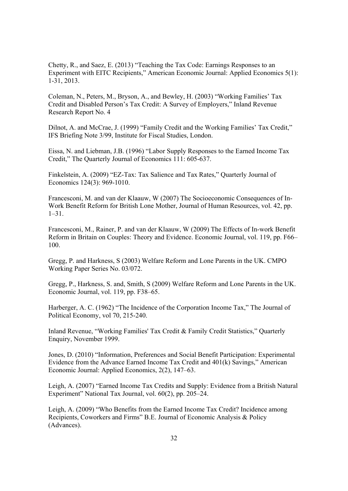Chetty, R., and Saez, E. (2013) "Teaching the Tax Code: Earnings Responses to an Experiment with EITC Recipients," American Economic Journal: Applied Economics 5(1): 1-31, 2013.

Coleman, N., Peters, M., Bryson, A., and Bewley, H. (2003) "Working Families' Tax Credit and Disabled Person's Tax Credit: A Survey of Employers," Inland Revenue Research Report No. 4

Dilnot, A. and McCrae, J. (1999) "Family Credit and the Working Families' Tax Credit," IFS Briefing Note 3/99, Institute for Fiscal Studies, London.

Eissa, N. and Liebman, J.B. (1996) "Labor Supply Responses to the Earned Income Tax Credit," The Quarterly Journal of Economics 111: 605-637.

Finkelstein, A. (2009) "EZ-Tax: Tax Salience and Tax Rates," Quarterly Journal of Economics 124(3): 969-1010.

Francesconi, M. and van der Klaauw, W (2007) The Socioeconomic Consequences of In-Work Benefit Reform for British Lone Mother, Journal of Human Resources, vol. 42, pp. 1–31.

Francesconi, M., Rainer, P. and van der Klaauw, W (2009) The Effects of In-work Benefit Reform in Britain on Couples: Theory and Evidence. Economic Journal, vol. 119, pp. F66– 100.

Gregg, P. and Harkness, S (2003) Welfare Reform and Lone Parents in the UK. CMPO Working Paper Series No. 03/072.

Gregg, P., Harkness, S. and, Smith, S (2009) Welfare Reform and Lone Parents in the UK. Economic Journal, vol. 119, pp. F38–65.

Harberger, A. C. (1962) "The Incidence of the Corporation Income Tax," The Journal of Political Economy, vol 70, 215-240.

Inland Revenue, "Working Families' Tax Credit & Family Credit Statistics," Quarterly Enquiry, November 1999.

Jones, D. (2010) "Information, Preferences and Social Benefit Participation: Experimental Evidence from the Advance Earned Income Tax Credit and 401(k) Savings," American Economic Journal: Applied Economics, 2(2), 147–63.

Leigh, A. (2007) "Earned Income Tax Credits and Supply: Evidence from a British Natural Experiment" National Tax Journal, vol. 60(2), pp. 205–24.

Leigh, A. (2009) "Who Benefits from the Earned Income Tax Credit? Incidence among Recipients, Coworkers and Firms" B.E. Journal of Economic Analysis & Policy (Advances).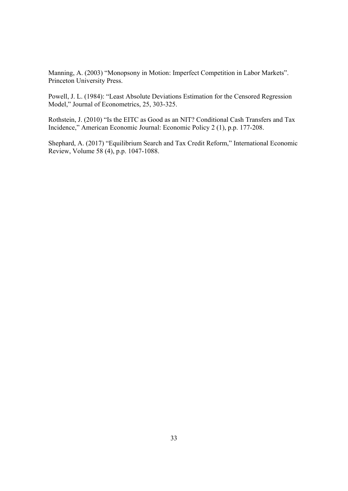Manning, A. (2003) "Monopsony in Motion: Imperfect Competition in Labor Markets". Princeton University Press.

Powell, J. L. (1984): "Least Absolute Deviations Estimation for the Censored Regression Model," Journal of Econometrics, 25, 303-325.

Rothstein, J. (2010) "Is the EITC as Good as an NIT? Conditional Cash Transfers and Tax Incidence," American Economic Journal: Economic Policy 2 (1), p.p. 177-208.

Shephard, A. (2017) "Equilibrium Search and Tax Credit Reform," International Economic Review, Volume 58 (4), p.p. 1047-1088.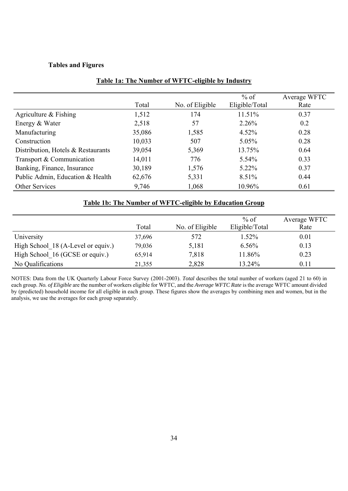## **Tables and Figures**

|                                    | Total  | No. of Eligible | $%$ of<br>Eligible/Total | Average WFTC<br>Rate |
|------------------------------------|--------|-----------------|--------------------------|----------------------|
| Agriculture & Fishing              | 1,512  | 174             | 11.51%                   | 0.37                 |
| Energy & Water                     | 2,518  | 57              | 2.26%                    | 0.2                  |
| Manufacturing                      | 35,086 | 1,585           | $4.52\%$                 | 0.28                 |
| Construction                       | 10,033 | 507             | 5.05%                    | 0.28                 |
| Distribution, Hotels & Restaurants | 39,054 | 5,369           | 13.75%                   | 0.64                 |
| Transport & Communication          | 14,011 | 776             | 5.54%                    | 0.33                 |
| Banking, Finance, Insurance        | 30,189 | 1,576           | 5.22%                    | 0.37                 |
| Public Admin, Education & Health   | 62,676 | 5,331           | 8.51%                    | 0.44                 |
| Other Services                     | 9,746  | 1,068           | 10.96%                   | 0.61                 |

# **Table 1a: The Number of WFTC-eligible by Industry**

# **Table 1b: The Number of WFTC-eligible by Education Group**

|                                    |        |                 | $%$ of         | Average WFTC |
|------------------------------------|--------|-----------------|----------------|--------------|
|                                    | Total  | No. of Eligible | Eligible/Total | Rate         |
| University                         | 37,696 | 572             | 1.52%          | 0.01         |
| High School 18 (A-Level or equiv.) | 79,036 | 5,181           | 6.56%          | 0.13         |
| High School 16 (GCSE or equiv.)    | 65,914 | 7,818           | 11.86%         | 0.23         |
| No Qualifications                  | 21,355 | 2,828           | 13.24%         | 0.11         |

NOTES: Data from the UK Quarterly Labour Force Survey (2001-2003). *Total* describes the total number of workers (aged 21 to 60) in each group. *No. of Eligible* are the number of workers eligible for WFTC, and the *Average WFTC Rate* is the average WFTC amount divided by (predicted) household income for all eligible in each group. These figures show the averages by combining men and women, but in the analysis, we use the averages for each group separately.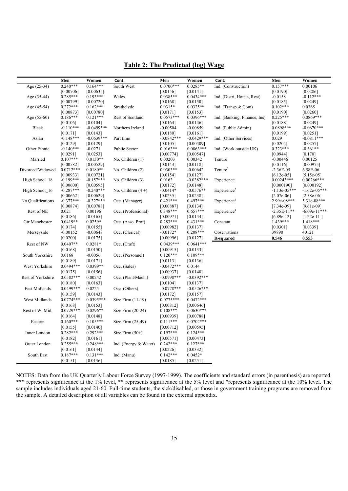|                       | Men                      | Women                    | Cont.                 | Men                     | Women                  | Cont.                        | Men                           | Women                       |
|-----------------------|--------------------------|--------------------------|-----------------------|-------------------------|------------------------|------------------------------|-------------------------------|-----------------------------|
| Age (25-34)           | $0.240***$               | $0.164***$               | South West            | $0.0700***$             | $0.0285**$             | Ind. (Construction)          | $0.157***$                    | 0.00106                     |
|                       | [0.00706]                | [0.00635]                |                       | [0.0156]                | [0.0141]               |                              | [0.0190]                      | [0.0286]                    |
| Age (35-44)           | $0.285***$               | $0.193***$               | Wales                 | $0.0385**$              | $0.0434***$            | Ind. (Distri, Hotels, Rest)  | $-0.0158$                     | $-0.112***$                 |
|                       | [0.00799]                | [0.00720]                |                       | [0.0168]                | [0.0150]               |                              | [0.0185]                      | [0.0249]                    |
| Age (45-54)           | $0.272***$               | $0.162***$               | Strathclyde           | $0.0315*$               | $0.0325**$             | Ind. (Transp & Com)          | $0.102***$                    | 0.0365                      |
|                       | [0.00873]                | [0.00780]                |                       | [0.0171]                | [0.0153]               |                              | [0.0190]                      | [0.0260]                    |
| Age $(55-60)$         | $0.186***$               | $0.121***$               | Rest of Scotland      | $0.0573***$             | $0.0396***$            | Ind. (Banking, Finance, Ins) | $0.225***$                    | $0.0869***$                 |
|                       | [0.0106]                 | [0.0104]                 |                       | [0.0164]                | [0.0146]               |                              | [0.0188]                      | [0.0249]                    |
| Black                 | $-0.110***$              | $-0.0499***$             | Northern Ireland      | $-0.00504$              | $-0.00859$             | Ind. (Public Admin)          | 0.0898***                     | $-0.0670***$                |
|                       | [0.0171]                 | [0.0143]                 |                       | [0.0180]                | [0.0161]               |                              | [0.0199]                      | [0.0251]                    |
| Asian                 | $-0.148***$              | $-0.0639***$             | Part time             | $-0.0842***$            | $-0.0429***$           | Ind. (Other Services)        | 0.029                         | $-0.0811***$                |
|                       | [0.0129]                 | [0.0129]                 |                       | [0.0105]                | [0.00409]              |                              | [0.0204]                      | [0.0257]                    |
| Other Ethnic          | $-0.140***$              | $-0.0271$                | Public Sector         | $0.0163**$              | $0.0863***$            | Ind. (Work outside UK)       | $0.323***$                    | $-0.361**$                  |
|                       | [0.0291]                 | [0.0253]                 |                       | [0.00774]               | [0.00547]              |                              | [0.0944]                      | [0.170]                     |
| Married               | $0.107***$               | $0.0130**$               | No. Children (1)      | 0.00203                 | 0.00342                | Tenure                       | $-0.00446$                    | 0.00125                     |
|                       | [0.00582]                | [0.00529]                |                       | [0.0143]                | [0.0118]               |                              | [0.0116]                      | [0.00975]                   |
| Divorced/Widowed      | $0.0712***$              | $0.0180**$               | No. Children (2)      | $0.0303**$              | $-0.00642$             | $T$ enure <sup>2</sup>       | $-2.36E-05$                   | 6.58E-06                    |
|                       | [0.00933]                | [0.00721]                |                       | [0.0154]                | [0.0127]               |                              | $[6.12e-05]$                  | $[5.15e-05]$                |
| High School 18        | $-0.199***$              | $-0.157***$              | No. Children (3)      | 0.0163                  | $-0.0382***$           | Experience                   | $0.00243***$                  | $0.00266***$                |
|                       | [0.00600]<br>$-0.287***$ | [0.00595]<br>$-0.240***$ |                       | [0.0172]                | [0.0148]               | Experience <sup>2</sup>      | [0.000190]                    | [0.000192]                  |
| High School 16        |                          |                          | No. Children $(4 +)$  | $-0.0414*$              | $-0.0576**$            |                              | $-1.13e-05***$                | $-1.62e-05***$              |
| No Qualifications     | [0.00662]<br>$-0.377***$ | [0.00629]<br>$-0.327***$ | Occ. (Manager)        | [0.0235]<br>$0.421***$  | [0.0238]<br>$0.497***$ | Experience <sup>3</sup>      | $[2.07e-06]$<br>$2.99e-08***$ | $[2.38e-06]$<br>5.31e-08*** |
|                       | [0.00874]                | [0.00788]                |                       | [0.00887]               | [0.0134]               |                              | $[7.34e-09]$                  | $[9.61e-09]$                |
| Rest of NE            | 0.021                    | 0.00196                  | Occ. (Professional)   | $0.348***$              | $0.657***$             | Experience <sup>4</sup>      | $-2.35E-11**$                 | $-6.09e-11***$              |
|                       | [0.0186]                 | [0.0165]                 |                       | [0.00971]               | [0.0144]               |                              | $[6.89e-12]$                  | $[1.22e-11]$                |
| <b>Gtr Manchester</b> | $0.0419**$               | $0.0259*$                | Occ. (Asso. Prof)     | $0.283***$              | $0.431***$             | Constant                     | $1.439***$                    | $1.418***$                  |
|                       | [0.0174]                 | [0.0155]                 |                       | [0.00982]               | [0.0137]               |                              | [0.0301]                      | [0.0339]                    |
| Merseyside            | $-0.00152$               | $-0.00648$               | Occ. (Clerical)       | $-0.0172*$              | $0.208***$             | Observations                 | 39890                         | 40121                       |
|                       | [0.0200]                 | [0.0175]                 |                       | [0.00996]               | [0.0127]               | R-squared                    | 0.546                         | 0.553                       |
| Rest of NW            | $0.0407**$               | $0.0281*$                | Occ. (Craft)          | $0.0439***$             | $0.0641***$            |                              |                               |                             |
|                       |                          |                          |                       |                         |                        |                              |                               |                             |
| South Yorkshire       | [0.0168]<br>0.0168       | [0.0150]<br>$-0.0056$    | Occ. (Personnel)      | [0.00915]<br>$0.120***$ | [0.0133]<br>$0.109***$ |                              |                               |                             |
|                       |                          |                          |                       |                         |                        |                              |                               |                             |
|                       | [0.0189]                 | [0.0171]                 |                       | [0.0113]                | [0.0136]               |                              |                               |                             |
| West Yorkshire        | $0.0494***$              | $0.0399**$               | Occ. (Sales)          | $-0.0472***$            | 0.0144                 |                              |                               |                             |
|                       | [0.0175]                 | [0.0156]                 |                       | [0.00937]               | [0.0140]               |                              |                               |                             |
| Rest of Yorkshire     | $0.0582***$              | 0.00242                  | Occ. (Plant/Mach.)    | $-0.0998***$            | $-0.0392***$           |                              |                               |                             |
|                       | [0.0180]                 | [0.0163]                 |                       | [0.0104]                | [0.0137]               |                              |                               |                             |
| East Midlands         | $0.0499***$              | 0.0225                   | Occ. (Others)         | $-0.0778***$            | $-0.0526***$           |                              |                               |                             |
|                       | [0.0159]                 | [0.0143]                 |                       | [0.0172]                | [0.0157]               |                              |                               |                             |
| West Midlands         | $0.0774***$              | $0.0395***$              | Size Firm $(11-19)$   | $0.0775***$             | $0.0472***$            |                              |                               |                             |
|                       | [0.0168]                 | [0.0153]                 |                       | [0.00812]               | [0.00646]              |                              |                               |                             |
| Rest of W. Mid.       | $0.0729***$              | $0.0296**$               | Size Firm $(20-24)$   | $0.108***$              | $0.0630***$            |                              |                               |                             |
|                       | [0.0164]                 | [0.0148]                 |                       | [0.00939]               | [0.00788]              |                              |                               |                             |
| Eastern               | $0.160***$               | $0.105***$               | Size Firm (25-49)     | $0.111***$              | $0.0702***$            |                              |                               |                             |
|                       | [0.0155]                 | [0.0140]                 |                       | [0.00712]               | [0.00595]              |                              |                               |                             |
| Inner London          | $0.282***$               | $0.292***$               | Size Firm $(50+)$     | $0.197***$              | $0.124***$             |                              |                               |                             |
|                       | [0.0182]                 | [0.0161]                 |                       | [0.00571]               | [0.00473]              |                              |                               |                             |
| Outer London          | $0.255***$               | $0.248***$               | Ind. (Energy & Water) | $0.242***$              | $0.127***$             |                              |                               |                             |
|                       | [0.0161]                 | [0.0144]                 |                       | [0.0226]                | [0.0332]               |                              |                               |                             |
| South East            | $0.187***$               | $0.131***$               | Ind. (Manu)           | $0.142***$              | $0.0452*$              |                              |                               |                             |
|                       | [0.0151]                 | [0.0136]                 |                       | [0.0185]                | [0.0251]               |                              |                               |                             |

# **Table 2: The Predicted (log) Wage**

NOTES: Data from the UK Quarterly Labour Force Survey (1997-1999). The coefficients and standard errors (in parenthesis) are reported. \*\*\* represents significance at the 1% level, \*\* represents significance at the 5% level and \*represents significance at the 10% level. The sample includes individuals aged 21-60. Full-time students, the sick/disabled, or those in government training programs are removed from the sample. A detailed description of all variables can be found in the external appendix.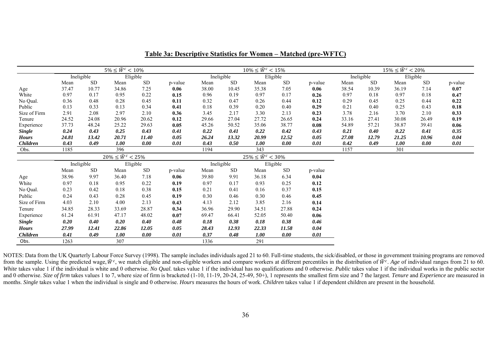|                 |       |            | $5\% \leq \hat{W}^c < 10\%$      |           |         |       |            | $10\% \leq \hat{W}^c < 15\%$     |           |         |       |            | $15\% \leq \hat{W}^c < 20\%$ |           |         |
|-----------------|-------|------------|----------------------------------|-----------|---------|-------|------------|----------------------------------|-----------|---------|-------|------------|------------------------------|-----------|---------|
|                 |       | Ineligible |                                  | Eligible  |         |       | Ineligible |                                  | Eligible  |         |       | Ineligible |                              | Eligible  |         |
|                 | Mean  | SD.        | Mean                             | SD        | p-value | Mean  | <b>SD</b>  | Mean                             | SD        | p-value | Mean  | SD.        | Mean                         | <b>SD</b> | p-value |
| Age             | 37.47 | 10.77      | 34.86                            | 7.25      | 0.06    | 38.00 | 10.45      | 35.38                            | 7.05      | 0.06    | 38.54 | 10.39      | 36.19                        | 7.14      | 0.07    |
| White           | 0.97  | 0.17       | 0.95                             | 0.22      | 0.15    | 0.96  | 0.19       | 0.97                             | 0.17      | 0.26    | 0.97  | 0.18       | 0.97                         | 0.18      | 0.47    |
| No Qual.        | 0.36  | 0.48       | 0.28                             | 0.45      | 0.11    | 0.32  | 0.47       | 0.26                             | 0.44      | 0.12    | 0.29  | 0.45       | 0.25                         | 0.44      | 0.22    |
| Public          | 0.13  | 0.33       | 0.13                             | 0.34      | 0.41    | 0.18  | 0.39       | 0.20                             | 0.40      | 0.29    | 0.21  | 0.40       | 0.25                         | 0.43      | 0.18    |
| Size of Firm    | 2.91  | 2.08       | 2.97                             | 2.10      | 0.36    | 3.45  | 2.17       | 3.30                             | 2.13      | 0.23    | 3.78  | 2.16       | 3.70                         | 2.10      | 0.33    |
| Tenure          | 24.52 | 24.08      | 20.96                            | 20.62     | 0.12    | 29.66 | 27.04      | 27.72                            | 26.65     | 0.24    | 33.16 | 27.41      | 30.08                        | 26.49     | 0.19    |
| Experience      | 37.73 | 48.24      | 25.22                            | 29.63     | 0.05    | 45.26 | 50.52      | 35.06                            | 38.77     | 0.08    | 54.89 | 57.21      | 38.87                        | 39.41     | 0.06    |
| <b>Single</b>   | 0.24  | 0.43       | 0.25                             | 0.43      | 0.41    | 0.22  | 0.41       | 0.22                             | 0.42      | 0.43    | 0.21  | 0.40       | 0.22                         | 0.41      | 0.35    |
| <b>Hours</b>    | 24.81 | 13.42      | 20.71                            | 11.40     | 0.05    | 26.24 | 13.32      | 20.99                            | 12.52     | 0.05    | 27.08 | 12.79      | 21.25                        | 10.96     | 0.04    |
| <b>Children</b> | 0.43  | 0.49       | 1.00                             | 0.00      | 0.01    | 0.43  | 0.50       | 1.00                             | 0.00      | 0.01    | 0.42  | 0.49       | 1.00                         | 0.00      | 0.01    |
| Obs.            | 1185  |            | 396                              |           |         | 1194  |            | 343                              |           |         | 1157  |            | 301                          |           |         |
|                 |       |            | $20\% \leq \widehat{W}^c < 25\%$ |           |         |       |            | $25\% \leq \widehat{W}^c < 30\%$ |           |         |       |            |                              |           |         |
|                 |       | Ineligible |                                  | Eligible  |         |       | Ineligible |                                  | Eligible  |         |       |            |                              |           |         |
|                 | Mean  | SD.        | Mean                             | <b>SD</b> | p-value | Mean  | SD.        | Mean                             | <b>SD</b> | p-value |       |            |                              |           |         |
| Age             | 38.96 | 9.97       | 36.40                            | 7.18      | 0.06    | 39.80 | 9.91       | 36.18                            | 6.34      | 0.04    |       |            |                              |           |         |
| White           | 0.97  | 0.18       | 0.95                             | 0.22      | 0.19    | 0.97  | 0.17       | 0.93                             | 0.25      | 0.12    |       |            |                              |           |         |
| No Qual.        | 0.23  | 0.42       | 0.18                             | 0.38      | 0.15    | 0.21  | 0.41       | 0.16                             | 0.37      | 0.15    |       |            |                              |           |         |
| Public          | 0.24  | 0.43       | 0.28                             | 0.45      | 0.19    | 0.30  | 0.46       | 0.30                             | 0.46      | 0.45    |       |            |                              |           |         |
| Size of Firm    | 4.03  | 2.10       | 4.00                             | 2.13      | 0.43    | 4.13  | 2.12       | 3.85                             | 2.16      | 0.14    |       |            |                              |           |         |
| Tenure          | 34.85 | 28.33      | 33.69                            | 28.87     | 0.34    | 36.96 | 29.90      | 34.51                            | 27.88     | 0.24    |       |            |                              |           |         |
| Experience      | 61.24 | 61.91      | 47.17                            | 48.02     | 0.07    | 69.47 | 66.41      | 52.05                            | 50.40     | 0.06    |       |            |                              |           |         |
| <b>Single</b>   | 0.20  | 0.40       | 0.20                             | 0.40      | 0.48    | 0.18  | 0.38       | 0.18                             | 0.38      | 0.46    |       |            |                              |           |         |
| <b>Hours</b>    | 27.99 | 12.41      | 22.86                            | 12.05     | 0.05    | 28.43 | 12.93      | 22.33                            | 11.58     | 0.04    |       |            |                              |           |         |
| <b>Children</b> | 0.41  | 0.49       | 1.00                             | 0.00      | 0.01    | 0.37  | 0.48       | 1.00                             | 0.00      | 0.01    |       |            |                              |           |         |
| Obs.            | 1263  |            | 307                              |           |         | 1336  |            | 291                              |           |         |       |            |                              |           |         |

**Table 3a: Descriptive Statistics for Women – Matched (pre-WFTC)**

NOTES: Data from the UK Quarterly Labour Force Survey (1998). The sample includes individuals aged 21 to 60. Full-time students, the sick/disabled, or those in government training programs are removed from the sample. Using the predicted wage,  $\hat{W}^c$ , we match eligible and non-eligible workers and compare workers at different percentiles in the distribution of  $\hat{W}^c$ . *Age* of individual ranges from 21 to 60. White takes value 1 if the individual is white and 0 otherwise. No Oual, takes value 1 if the individual has no qualifications and 0 otherwise. Public takes value 1 if the individual works in the public sector and 0 otherwise. Size of firm takes values 1 to 7, where size of firm is bracketed (1-10, 11-19, 20-24, 25-49, 50+), 1 represents the smallest firm size and 7 the largest. Tenure and Experience are measured in months. *Single* takes value 1 when the individual is single and 0 otherwise. *Hours* measures the hours of work. *Children* takes value 1 if dependent children are present in the household.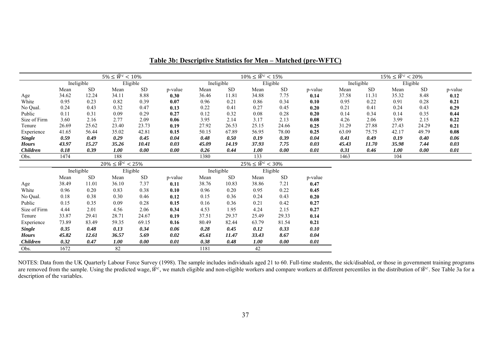|                 |       |            | $5\% \leq \hat{W}^c < 10\%$  |            |         |       |            | $10\% \leq \hat{W}^c < 15\%$     |           |         |       |            | $15\% \leq \hat W^c < 20\%$ |           |         |
|-----------------|-------|------------|------------------------------|------------|---------|-------|------------|----------------------------------|-----------|---------|-------|------------|-----------------------------|-----------|---------|
|                 |       | Ineligible |                              | Eligible   |         |       | Ineligible |                                  | Eligible  |         |       | Ineligible |                             | Eligible  |         |
|                 | Mean  | SD.        | Mean                         | <b>SD</b>  | p-value | Mean  | <b>SD</b>  | Mean                             | <b>SD</b> | p-value | Mean  | SD.        | Mean                        | <b>SD</b> | p-value |
| Age             | 34.62 | 12.24      | 34.11                        | 8.88       | 0.30    | 36.46 | 11.81      | 34.88                            | 7.75      | 0.14    | 37.58 | 11.31      | 35.32                       | 8.48      | 0.12    |
| White           | 0.95  | 0.23       | 0.82                         | 0.39       | 0.07    | 0.96  | 0.21       | 0.86                             | 0.34      | 0.10    | 0.95  | 0.22       | 0.91                        | 0.28      | 0.21    |
| No Qual.        | 0.24  | 0.43       | 0.32                         | 0.47       | 0.13    | 0.22  | 0.41       | 0.27                             | 0.45      | 0.20    | 0.21  | 0.41       | 0.24                        | 0.43      | 0.29    |
| Public          | 0.11  | 0.31       | 0.09                         | 0.29       | 0.27    | 0.12  | 0.32       | 0.08                             | 0.28      | 0.20    | 0.14  | 0.34       | 0.14                        | 0.35      | 0.44    |
| Size of Firm    | 3.60  | 2.16       | 2.77                         | 2.09       | 0.06    | 3.95  | 2.14       | 3.17                             | 2.13      | 0.08    | 4.26  | 2.06       | 3.99                        | 2.15      | 0.22    |
| Tenure          | 26.69 | 25.62      | 23.40                        | 23.73      | 0.19    | 27.92 | 26.53      | 25.15                            | 24.66     | 0.25    | 31.29 | 27.88      | 27.43                       | 24.29     | 0.21    |
| Experience      | 41.65 | 56.44      | 35.02                        | 42.81      | 0.15    | 50.15 | 67.89      | 56.95                            | 78.00     | 0.25    | 63.09 | 75.75      | 42.17                       | 49.79     | 0.08    |
| <b>Single</b>   | 0.59  | 0.49       | 0.29                         | 0.45       | 0.04    | 0.48  | 0.50       | 0.19                             | 0.39      | 0.04    | 0.41  | 0.49       | 0.19                        | 0.40      | 0.06    |
| <b>Hours</b>    | 43.97 | 15.27      | 35.26                        | 10.41      | 0.03    | 45.09 | 14.19      | 37.93                            | 7.75      | 0.03    | 45.43 | 11.70      | 35.98                       | 7.44      | 0.03    |
| <b>Children</b> | 0.18  | 0.39       | 1.00                         | 0.00       | 0.00    | 0.26  | 0.44       | 1.00                             | 0.00      | 0.01    | 0.31  | 0.46       | 1.00                        | 0.00      | 0.01    |
| Obs.            | 1474  |            | 188                          |            |         | 1380  |            | 133                              |           |         | 1463  |            | 104                         |           |         |
|                 |       |            | $20\% \leq \hat{W}^c < 25\%$ |            |         |       |            | $25\% \leq \widehat{W}^c < 30\%$ |           |         |       |            |                             |           |         |
|                 |       | Ineligible |                              | Eligible   |         |       | Ineligible |                                  | Eligible  |         |       |            |                             |           |         |
|                 | Mean  | <b>SD</b>  | Mean                         | ${\rm SD}$ | p-value | Mean  | SD         | Mean                             | <b>SD</b> | p-value |       |            |                             |           |         |
| Age             | 38.49 | 11.01      | 36.10                        | 7.37       | 0.11    | 38.76 | 10.83      | 38.86                            | 7.21      | 0.47    |       |            |                             |           |         |
| White           | 0.96  | 0.20       | 0.83                         | 0.38       | 0.10    | 0.96  | 0.20       | 0.95                             | 0.22      | 0.45    |       |            |                             |           |         |
| No Qual.        | 0.18  | 0.38       | 0.30                         | 0.46       | 0.12    | 0.15  | 0.36       | 0.24                             | 0.43      | 0.20    |       |            |                             |           |         |
| Public          | 0.15  | 0.35       | 0.09                         | 0.28       | 0.15    | 0.16  | 0.36       | 0.21                             | 0.42      | 0.27    |       |            |                             |           |         |
| Size of Firm    | 4.44  | 2.01       | 4.56                         | 2.06       | 0.34    | 4.53  | 1.95       | 4.24                             | 2.15      | 0.27    |       |            |                             |           |         |
| Tenure          | 33.87 | 29.41      | 28.71                        | 24.67      | 0.19    | 37.51 | 29.37      | 25.49                            | 29.33     | 0.14    |       |            |                             |           |         |
| Experience      | 73.89 | 83.49      | 59.35                        | 69.15      | 0.16    | 80.49 | 82.44      | 63.79                            | 81.54     | 0.21    |       |            |                             |           |         |
| <b>Single</b>   | 0.35  | 0.48       | 0.13                         | 0.34       | 0.06    | 0.28  | 0.45       | 0.12                             | 0.33      | 0.10    |       |            |                             |           |         |
| <b>Hours</b>    | 45.82 | 12.61      | 36.57                        | 5.69       | 0.02    | 45.61 | 11.47      | 33.43                            | 8.67      | 0.04    |       |            |                             |           |         |
| <b>Children</b> | 0.32  | 0.47       | 1.00                         | 0.00       | 0.01    | 0.38  | 0.48       | 1.00                             | 0.00      | 0.01    |       |            |                             |           |         |
| Obs.            | 1672  |            | 82                           |            |         | 1181  |            | 42                               |           |         |       |            |                             |           |         |

**Table 3b: Descriptive Statistics for Men – Matched (pre-WFTC)** 

NOTES: Data from the UK Quarterly Labour Force Survey (1998). The sample includes individuals aged 21 to 60. Full-time students, the sick/disabled, or those in government training programs are removed from the sample. Using the predicted wage,  $\hat{W}^c$ , we match eligible and non-eligible workers and compare workers at different percentiles in the distribution of  $\hat{W}^c$ . See Table 3a for a description of the variables.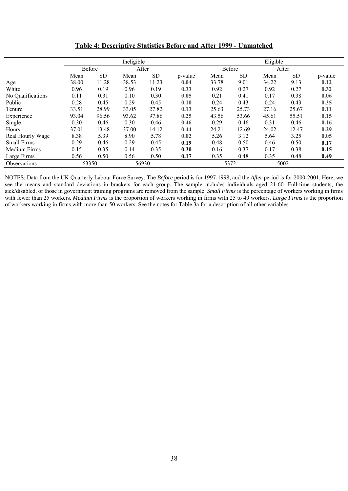|                     |                 |           | Ineligible |        |         | Eligible |           |       |           |         |
|---------------------|-----------------|-----------|------------|--------|---------|----------|-----------|-------|-----------|---------|
|                     | Before<br>After |           |            | Before |         | After    |           |       |           |         |
|                     | Mean            | <b>SD</b> | Mean       | SD     | p-value | Mean     | <b>SD</b> | Mean  | <b>SD</b> | p-value |
| Age                 | 38.00           | 11.28     | 38.53      | 11.23  | 0.04    | 33.78    | 9.01      | 34.22 | 9.13      | 0.12    |
| White               | 0.96            | 0.19      | 0.96       | 0.19   | 0.33    | 0.92     | 0.27      | 0.92  | 0.27      | 0.32    |
| No Qualifications   | 0.11            | 0.31      | 0.10       | 0.30   | 0.05    | 0.21     | 0.41      | 0.17  | 0.38      | 0.06    |
| Public              | 0.28            | 0.45      | 0.29       | 0.45   | 0.10    | 0.24     | 0.43      | 0.24  | 0.43      | 0.35    |
| Tenure              | 33.51           | 28.99     | 33.05      | 27.82  | 0.13    | 25.63    | 25.73     | 27.16 | 25.67     | 0.11    |
| Experience          | 93.04           | 96.56     | 93.62      | 97.86  | 0.25    | 43.56    | 53.66     | 45.61 | 55.51     | 0.15    |
| Single              | 0.30            | 0.46      | 0.30       | 0.46   | 0.46    | 0.29     | 0.46      | 0.31  | 0.46      | 0.16    |
| Hours               | 37.01           | 13.48     | 37.00      | 14.12  | 0.44    | 24.21    | 12.69     | 24.02 | 12.47     | 0.29    |
| Real Hourly Wage    | 8.38            | 5.39      | 8.90       | 5.78   | 0.02    | 5.26     | 3.12      | 5.64  | 3.25      | 0.05    |
| <b>Small Firms</b>  | 0.29            | 0.46      | 0.29       | 0.45   | 0.19    | 0.48     | 0.50      | 0.46  | 0.50      | 0.17    |
| Medium Firms        | 0.15            | 0.35      | 0.14       | 0.35   | 0.30    | 0.16     | 0.37      | 0.17  | 0.38      | 0.15    |
| Large Firms         | 0.56            | 0.50      | 0.56       | 0.50   | 0.17    | 0.35     | 0.48      | 0.35  | 0.48      | 0.49    |
| <b>Observations</b> | 63350           |           |            | 56930  |         |          | 5372      |       | 5002      |         |

**Table 4: Descriptive Statistics Before and After 1999 - Unmatched** 

NOTES: Data from the UK Quarterly Labour Force Survey. The *Before* period is for 1997-1998, and the *After* period is for 2000-2001. Here, we see the means and standard deviations in brackets for each group. The sample includes individuals aged 21-60. Full-time students, the sick/disabled, or those in government training programs are removed from the sample. *Small Firms* is the percentage of workers working in firms with fewer than 25 workers. *Medium Firms* is the proportion of workers working in firms with 25 to 49 workers*. Large Firms* is the proportion of workers working in firms with more than 50 workers. See the notes for Table 3a for a description of all other variables.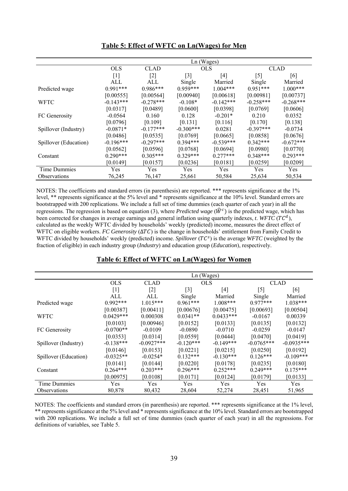|                       |                   |             | Ln (Wages)  |             |             |             |
|-----------------------|-------------------|-------------|-------------|-------------|-------------|-------------|
|                       | <b>OLS</b>        | <b>CLAD</b> |             | <b>OLS</b>  |             | <b>CLAD</b> |
|                       | $\lceil 1 \rceil$ | $[2]$       | $[3]$       | $[4]$       | $[5]$       | [6]         |
|                       | ALL               | ALL         | Single      | Married     | Single      | Married     |
| Predicted wage        | $0.991***$        | $0.986***$  | $0.959***$  | $1.004***$  | $0.951***$  | $1.000***$  |
|                       | [0.00555]         | [0.00564]   | [0.00940]   | [0.00618]   | [0.00981]   | [0.00737]   |
| <b>WFTC</b>           | $-0.143***$       | $-0.278***$ | $-0.108*$   | $-0.142***$ | $-0.258***$ | $-0.268***$ |
|                       | [0.0317]          | [0.0489]    | [0.0600]    | [0.0398]    | [0.0769]    | [0.0606]    |
| FC Generosity         | $-0.0564$         | 0.160       | 0.128       | $-0.201*$   | 0.210       | 0.0352      |
|                       | [0.0796]          | [0.109]     | [0.131]     | [0.116]     | [0.170]     | [0.138]     |
| Spillover (Industry)  | $-0.0871*$        | $-0.177***$ | $-0.300***$ | 0.0281      | $-0.397***$ | $-0.0734$   |
|                       | [0.0486]          | [0.0535]    | [0.0769]    | [0.0665]    | [0.0858]    | [0.0676]    |
| Spillover (Education) | $-0.196***$       | $-0.297***$ | $0.394***$  | $-0.539***$ | $0.342***$  | $-0.672***$ |
|                       | [0.0562]          | [0.0596]    | [0.0768]    | [0.0694]    | [0.0980]    | [0.0770]    |
| Constant              | $0.290***$        | $0.305***$  | $0.329***$  | $0.277***$  | $0.348***$  | $0.293***$  |
|                       | [0.0149]          | [0.0157]    | [0.0236]    | [0.0181]    | [0.0259]    | [0.0209]    |
| Time Dummies          | Yes               | Yes         | Yes         | <b>Yes</b>  | Yes         | Yes         |
| Observations          | 76,245            | 76,147      | 25,661      | 50,584      | 25,634      | 50,534      |

### **Table 5: Effect of WFTC on Ln(Wages) for Men**

NOTES: The coefficients and standard errors (in parenthesis) are reported. \*\*\* represents significance at the 1% level, \*\* represents significance at the 5% level and \* represents significance at the 10% level. Standard errors are bootstrapped with 200 replications. We include a full set of time dummies (each quarter of each year) in all the regressions. The regression is based on equation (3), where *Predicted wage* ( $\hat{W}^c$ ) is the predicted wage, which has been corrected for changes in average earnings and general inflation using quarterly indexes, *t. WFTC*  $(TC<sup>d</sup>)$ , calculated as the weekly WFTC divided by households' weekly (predicted) income, measures the direct effect of WFTC on eligible workers. *FC Generosity* (ΔTC) is the change in households' entitlement from Family Credit to WFTC divided by households' weekly (predicted) income. *Spillover*  $(T\mathcal{C}^s)$  is the average *WFTC* (weighted by the fraction of eligible) in each industry group (*Industry*) and education group (*Education*), respectively.

|                       |                   |              | Ln (Wages)  |             |              |              |
|-----------------------|-------------------|--------------|-------------|-------------|--------------|--------------|
|                       | <b>OLS</b>        | <b>CLAD</b>  |             | <b>OLS</b>  | <b>CLAD</b>  |              |
|                       | $\lceil 1 \rceil$ | [2]          | $[3]$       | [4]         | [5]          | [6]          |
|                       | ALL               | ALL          | Single      | Married     | Single       | Married      |
| Predicted wage        | $0.992***$        | $1.015***$   | $0.961***$  | $1.008***$  | $0.977***$   | $1.038***$   |
|                       | [0.00387]         | [0.00411]    | [0.00676]   | [0.00475]   | [0.00693]    | [0.00504]    |
| WFTC                  | $0.0429***$       | 0.000308     | $0.0341**$  | $0.0433***$ | $-0.0167$    | 0.00339      |
|                       | [0.0103]          | [0.00946]    | [0.0152]    | [0.0133]    | [0.0135]     | [0.0132]     |
| FC Generosity         | $-0.0700**$       | $-0.0109$    | $-0.0890$   | $-0.0710$   | $-0.0259$    | $-0.0147$    |
|                       | [0.0353]          | [0.0314]     | [0.0559]    | [0.0444]    | [0.0470]     | [0.0419]     |
| Spillover (Industry)  | $-0.138***$       | $-0.0927***$ | $-0.120***$ | $-0.149***$ | $-0.0765***$ | $-0.0935***$ |
|                       | [0.0146]          | [0.0153]     | [0.0221]    | [0.0215]    | [0.0250]     | [0.0192]     |
| Spillover (Education) | $-0.0325**$       | $-0.0254*$   | $0.132***$  | $-0.130***$ | $0.126***$   | $-0.109***$  |
|                       | [0.0141]          | [0.0144]     | [0.0220]    | [0.0178]    | [0.0235]     | [0.0180]     |
| Constant              | $0.264***$        | $0.203***$   | $0.296***$  | $0.252***$  | $0.249***$   | $0.175***$   |
|                       | [0.00975]         | [0.0108]     | [0.0171]    | [0.0124]    | [0.0179]     | [0.0133]     |

#### **Table 6: Effect of WFTC on Ln(Wages) for Women**

NOTES: The coefficients and standard errors (in parenthesis) are reported. \*\*\* represents significance at the 1% level, \*\* represents significance at the 5% level and \* represents significance at the 10% level. Standard errors are bootstrapped with 200 replications. We include a full set of time dummies (each quarter of each year) in all the regressions. For definitions of variables, see Table 5.

Time Dummies Yes Yes Yes Yes Yes Yes Yes Yes Observations 80,878 80,432 28,604 52,274 28,451 51,965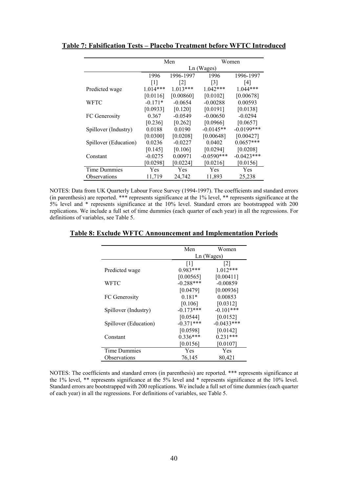|                       |                   | Men        |                   | Women         |
|-----------------------|-------------------|------------|-------------------|---------------|
|                       |                   |            | Ln (Wages)        |               |
|                       | 1996              | 1996-1997  | 1996              | 1996-1997     |
|                       | $\lceil 1 \rceil$ | [2]        | $\lceil 3 \rceil$ | [4]           |
| Predicted wage        | $1.014***$        | $1.013***$ | $1.042***$        | $1.044***$    |
|                       | [0.0116]          | [0.00860]  | [0.0102]          | [0.00678]     |
| WFTC                  | $-0.171*$         | $-0.0654$  | $-0.00288$        | 0.00593       |
|                       | [0.0933]          | [0.120]    | [0.0191]          | [0.0138]      |
| FC Generosity         | 0.367             | $-0.0549$  | $-0.00650$        | $-0.0294$     |
|                       | [0.236]           | [0.262]    | [0.0966]          | [0.0657]      |
| Spillover (Industry)  | 0.0188            | 0.0190     | $-0.0145**$       | $-0.0199$ *** |
|                       | [0.0300]          | [0.0208]   | [0.00648]         | [0.00427]     |
| Spillover (Education) | 0.0236            | $-0.0227$  | 0.0402            | $0.0657***$   |
|                       | [0.145]           | [0.106]    | [0.0294]          | [0.0208]      |
| Constant              | $-0.0275$         | 0.00971    | $-0.0590***$      | $-0.0423***$  |
|                       | [0.0298]          | [0.0224]   | [0.0216]          | [0.0156]      |
| <b>Time Dummies</b>   | Yes               | Yes        | Yes               | Yes           |
| Observations          | 11,719            | 24,742     | 11,893            | 25,238        |

**Table 7: Falsification Tests – Placebo Treatment before WFTC Introduced**

NOTES: Data from UK Quarterly Labour Force Survey (1994-1997). The coefficients and standard errors (in parenthesis) are reported. \*\*\* represents significance at the 1% level, \*\* represents significance at the 5% level and \* represents significance at the 10% level. Standard errors are bootstrapped with 200 replications. We include a full set of time dummies (each quarter of each year) in all the regressions. For definitions of variables, see Table 5.

|                       | Men         | Women             |
|-----------------------|-------------|-------------------|
|                       |             | Ln (Wages)        |
|                       | [1]         | $\lceil 2 \rceil$ |
| Predicted wage        | $0.983***$  | $1.012***$        |
|                       | [0.00565]   | [0.00411]         |
| WFTC                  | $-0.288***$ | $-0.00859$        |
|                       | [0.0479]    | [0.00936]         |
| FC Generosity         | $0.181*$    | 0.00853           |
|                       | [0.106]     | [0.0312]          |
| Spillover (Industry)  | $-0.173***$ | $-0.101***$       |
|                       | [0.0544]    | [0.0152]          |
| Spillover (Education) | $-0.371***$ | $-0.0433***$      |
|                       | [0.0598]    | [0.0142]          |
| Constant              | $0.336***$  | $0.231***$        |
|                       | [0.0156]    | [0.0107]          |
| <b>Time Dummies</b>   | Yes         | <b>Yes</b>        |
| Observations          | 76,145      | 80,421            |

### **Table 8: Exclude WFTC Announcement and Implementation Periods**

NOTES: The coefficients and standard errors (in parenthesis) are reported. \*\*\* represents significance at the 1% level, \*\* represents significance at the 5% level and \* represents significance at the 10% level. Standard errors are bootstrapped with 200 replications. We include a full set of time dummies (each quarter of each year) in all the regressions. For definitions of variables, see Table 5.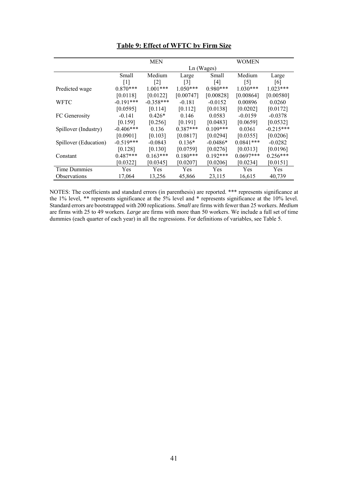|                       |                   | MEN               |                   |            | WOMEN             |             |
|-----------------------|-------------------|-------------------|-------------------|------------|-------------------|-------------|
|                       |                   |                   |                   | Ln (Wages) |                   |             |
|                       | Small             | Medium            | Large             | Small      | Medium            | Large       |
|                       | $\lceil 1 \rceil$ | $\lceil 2 \rceil$ | $\lceil 3 \rceil$ | [4]        | $\lceil 5 \rceil$ | [6]         |
| Predicted wage        | $0.870***$        | $1.001***$        | $1.050***$        | $0.980***$ | $1.030***$        | $1.023***$  |
|                       | [0.0118]          | [0.0122]          | [0.00747]         | [0.00828]  | [0.00864]         | [0.00580]   |
| <b>WFTC</b>           | $-0.191***$       | $-0.358***$       | $-0.181$          | $-0.0152$  | 0.00896           | 0.0260      |
|                       | [0.0595]          | [0.114]           | [0.112]           | [0.0138]   | [0.0202]          | [0.0172]    |
| FC Generosity         | $-0.141$          | $0.426*$          | 0.146             | 0.0583     | $-0.0159$         | $-0.0378$   |
|                       | [0.159]           | [0.256]           | [0.191]           | [0.0483]   | [0.0659]          | [0.0532]    |
| Spillover (Industry)  | $-0.406***$       | 0.136             | $0.387***$        | $0.109***$ | 0.0361            | $-0.215***$ |
|                       | [0.0901]          | [0.103]           | [0.0817]          | [0.0294]   | [0.0355]          | [0.0206]    |
| Spillover (Education) | $-0.519***$       | $-0.0843$         | $0.136*$          | $-0.0486*$ | $0.0841***$       | $-0.0282$   |
|                       | [0.128]           | [0.130]           | [0.0759]          | [0.0276]   | [0.0313]          | [0.0196]    |
| Constant              | $0.487***$        | $0.163***$        | $0.180***$        | $0.192***$ | $0.0697***$       | $0.256***$  |
|                       | [0.0322]          | [0.0345]          | [0.0207]          | [0.0206]   | [0.0234]          | [0.0151]    |
| Time Dummies          | <b>Yes</b>        | <b>Yes</b>        | Yes               | <b>Yes</b> | <b>Yes</b>        | <b>Yes</b>  |
| Observations          | 17,064            | 13,256            | 45,866            | 23,115     | 16,615            | 40,739      |

**Table 9: Effect of WFTC by Firm Size** 

NOTES: The coefficients and standard errors (in parenthesis) are reported. \*\*\* represents significance at the 1% level, \*\* represents significance at the 5% level and \* represents significance at the 10% level. Standard errors are bootstrapped with 200 replications. *Small* are firms with fewer than 25 workers. *Medium* are firms with 25 to 49 workers. *Large* are firms with more than 50 workers. We include a full set of time dummies (each quarter of each year) in all the regressions. For definitions of variables, see Table 5.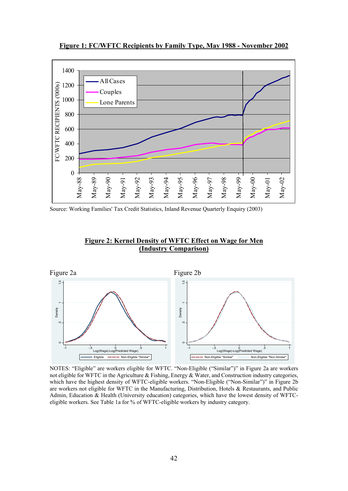**Figure 1: FC/WFTC Recipients by Family Type, May 1988 - November 2002** 



Source: Working Families' Tax Credit Statistics, Inland Revenue Quarterly Enquiry (2003)

## **Figure 2: Kernel Density of WFTC Effect on Wage for Men (Industry Comparison)**



 NOTES: "Eligible" are workers eligible for WFTC. "Non-Eligible ("Similar")" in Figure 2a are workers not eligible for WFTC in the Agriculture & Fishing, Energy & Water, and Construction industry categories, which have the highest density of WFTC-eligible workers. "Non-Eligible ("Non-Similar")" in Figure 2b are workers not eligible for WFTC in the Manufacturing, Distribution, Hotels & Restaurants, and Public Admin, Education & Health (University education) categories, which have the lowest density of WFTCeligible workers. See Table 1a for % of WFTC-eligible workers by industry category.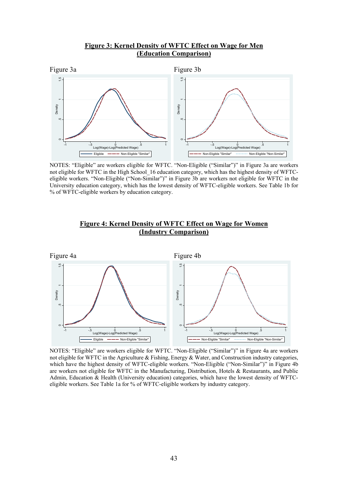



NOTES: "Eligible" are workers eligible for WFTC. "Non-Eligible ("Similar")" in Figure 3a are workers not eligible for WFTC in the High School\_16 education category, which has the highest density of WFTCeligible workers. "Non-Eligible ("Non-Similar")" in Figure 3b are workers not eligible for WFTC in the University education category, which has the lowest density of WFTC-eligible workers. See Table 1b for % of WFTC-eligible workers by education category.

## **Figure 4: Kernel Density of WFTC Effect on Wage for Women (Industry Comparison)**



NOTES: "Eligible" are workers eligible for WFTC. "Non-Eligible ("Similar")" in Figure 4a are workers not eligible for WFTC in the Agriculture & Fishing, Energy & Water, and Construction industry categories, which have the highest density of WFTC-eligible workers. "Non-Eligible ("Non-Similar")" in Figure 4b are workers not eligible for WFTC in the Manufacturing, Distribution, Hotels & Restaurants, and Public Admin, Education & Health (University education) categories, which have the lowest density of WFTCeligible workers. See Table 1a for % of WFTC-eligible workers by industry category.